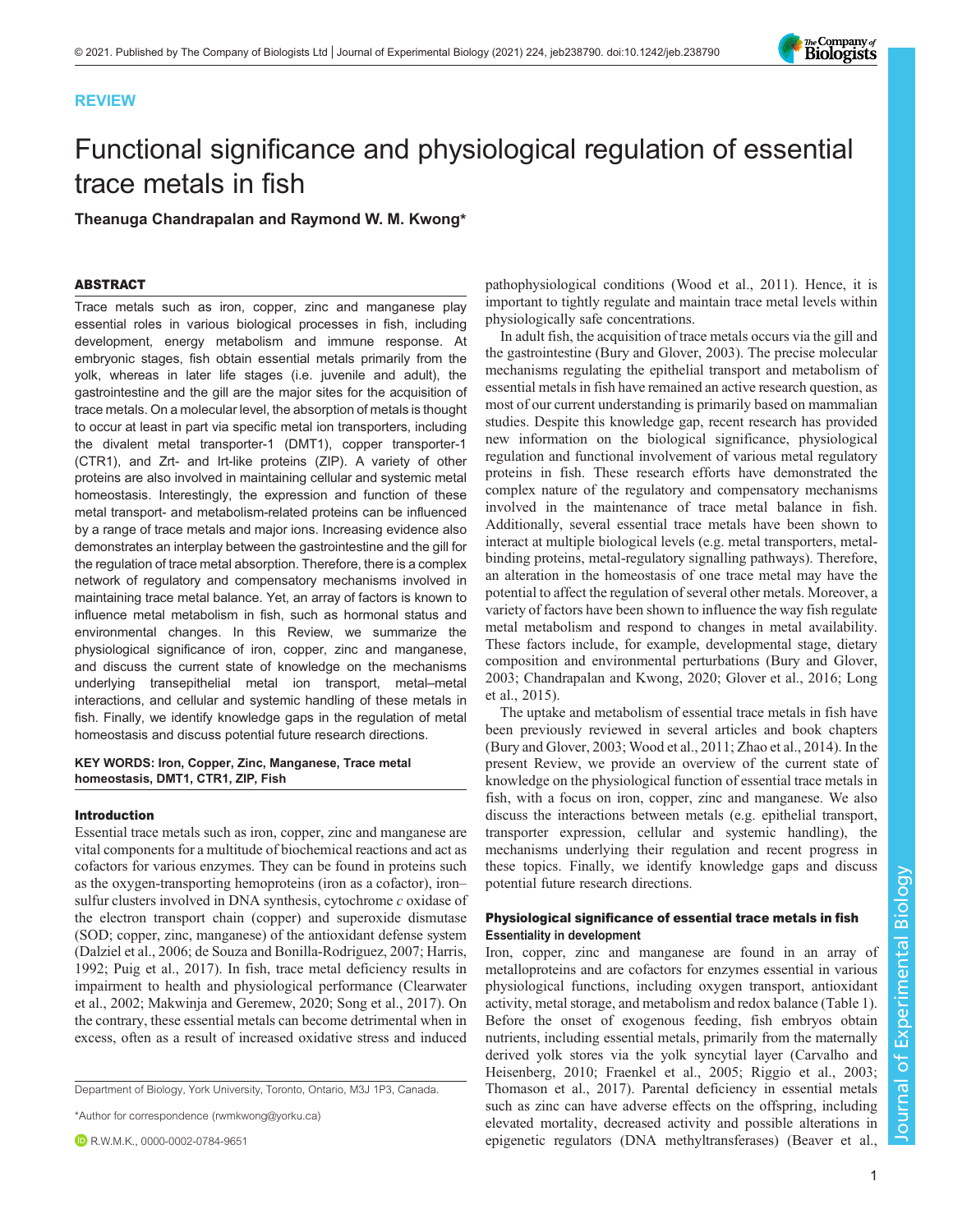

# REVIEW

# Functional significance and physiological regulation of essential trace metals in fish

Theanuga Chandrapalan and Raymond W. M. Kwong\*

# ABSTRACT

Trace metals such as iron, copper, zinc and manganese play essential roles in various biological processes in fish, including development, energy metabolism and immune response. At embryonic stages, fish obtain essential metals primarily from the yolk, whereas in later life stages (i.e. juvenile and adult), the gastrointestine and the gill are the major sites for the acquisition of trace metals. On a molecular level, the absorption of metals is thought to occur at least in part via specific metal ion transporters, including the divalent metal transporter-1 (DMT1), copper transporter-1 (CTR1), and Zrt- and Irt-like proteins (ZIP). A variety of other proteins are also involved in maintaining cellular and systemic metal homeostasis. Interestingly, the expression and function of these metal transport- and metabolism-related proteins can be influenced by a range of trace metals and major ions. Increasing evidence also demonstrates an interplay between the gastrointestine and the gill for the regulation of trace metal absorption. Therefore, there is a complex network of regulatory and compensatory mechanisms involved in maintaining trace metal balance. Yet, an array of factors is known to influence metal metabolism in fish, such as hormonal status and environmental changes. In this Review, we summarize the physiological significance of iron, copper, zinc and manganese, and discuss the current state of knowledge on the mechanisms underlying transepithelial metal ion transport, metal–metal interactions, and cellular and systemic handling of these metals in fish. Finally, we identify knowledge gaps in the regulation of metal homeostasis and discuss potential future research directions.

### KEY WORDS: Iron, Copper, Zinc, Manganese, Trace metal homeostasis, DMT1, CTR1, ZIP, Fish

#### Introduction

Essential trace metals such as iron, copper, zinc and manganese are vital components for a multitude of biochemical reactions and act as cofactors for various enzymes. They can be found in proteins such as the oxygen-transporting hemoproteins (iron as a cofactor), iron– sulfur clusters involved in DNA synthesis, cytochrome c oxidase of the electron transport chain (copper) and superoxide dismutase (SOD; copper, zinc, manganese) of the antioxidant defense system [\(Dalziel et al., 2006; de Souza and Bonilla-Rodriguez, 2007;](#page-8-0) [Harris,](#page-9-0) [1992](#page-9-0); [Puig et al., 2017\)](#page-10-0). In fish, trace metal deficiency results in impairment to health and physiological performance [\(Clearwater](#page-8-0) [et al., 2002](#page-8-0); [Makwinja and Geremew, 2020;](#page-9-0) [Song et al., 2017\)](#page-10-0). On the contrary, these essential metals can become detrimental when in excess, often as a result of increased oxidative stress and induced

Department of Biology, York University, Toronto, Ontario, M3J 1P3, Canada.

\*Author for correspondence [\(rwmkwong@yorku.ca\)](mailto:rwmkwong@yorku.ca)

**D** R.W.M.K., [0000-0002-0784-9651](http://orcid.org/0000-0002-0784-9651)

pathophysiological conditions ([Wood et al., 2011\)](#page-11-0). Hence, it is important to tightly regulate and maintain trace metal levels within physiologically safe concentrations.

In adult fish, the acquisition of trace metals occurs via the gill and the gastrointestine ([Bury and Glover, 2003\)](#page-8-0). The precise molecular mechanisms regulating the epithelial transport and metabolism of essential metals in fish have remained an active research question, as most of our current understanding is primarily based on mammalian studies. Despite this knowledge gap, recent research has provided new information on the biological significance, physiological regulation and functional involvement of various metal regulatory proteins in fish. These research efforts have demonstrated the complex nature of the regulatory and compensatory mechanisms involved in the maintenance of trace metal balance in fish. Additionally, several essential trace metals have been shown to interact at multiple biological levels (e.g. metal transporters, metalbinding proteins, metal-regulatory signalling pathways). Therefore, an alteration in the homeostasis of one trace metal may have the potential to affect the regulation of several other metals. Moreover, a variety of factors have been shown to influence the way fish regulate metal metabolism and respond to changes in metal availability. These factors include, for example, developmental stage, dietary composition and environmental perturbations [\(Bury and Glover,](#page-8-0) [2003; Chandrapalan and Kwong, 2020; Glover et al., 2016](#page-8-0); [Long](#page-9-0) [et al., 2015\)](#page-9-0).

The uptake and metabolism of essential trace metals in fish have been previously reviewed in several articles and book chapters [\(Bury and Glover, 2003;](#page-8-0) [Wood et al., 2011](#page-11-0); [Zhao et al., 2014\)](#page-11-0). In the present Review, we provide an overview of the current state of knowledge on the physiological function of essential trace metals in fish, with a focus on iron, copper, zinc and manganese. We also discuss the interactions between metals (e.g. epithelial transport, transporter expression, cellular and systemic handling), the mechanisms underlying their regulation and recent progress in these topics. Finally, we identify knowledge gaps and discuss potential future research directions.

# Physiological significance of essential trace metals in fish Essentiality in development

Iron, copper, zinc and manganese are found in an array of metalloproteins and are cofactors for enzymes essential in various physiological functions, including oxygen transport, antioxidant activity, metal storage, and metabolism and redox balance ([Table 1\)](#page-2-0). Before the onset of exogenous feeding, fish embryos obtain nutrients, including essential metals, primarily from the maternally derived yolk stores via the yolk syncytial layer ([Carvalho and](#page-8-0) [Heisenberg, 2010; Fraenkel et al., 2005;](#page-8-0) [Riggio et al., 2003](#page-10-0); [Thomason et al., 2017\)](#page-11-0). Parental deficiency in essential metals such as zinc can have adverse effects on the offspring, including elevated mortality, decreased activity and possible alterations in epigenetic regulators (DNA methyltransferases) ([Beaver et al.,](#page-7-0)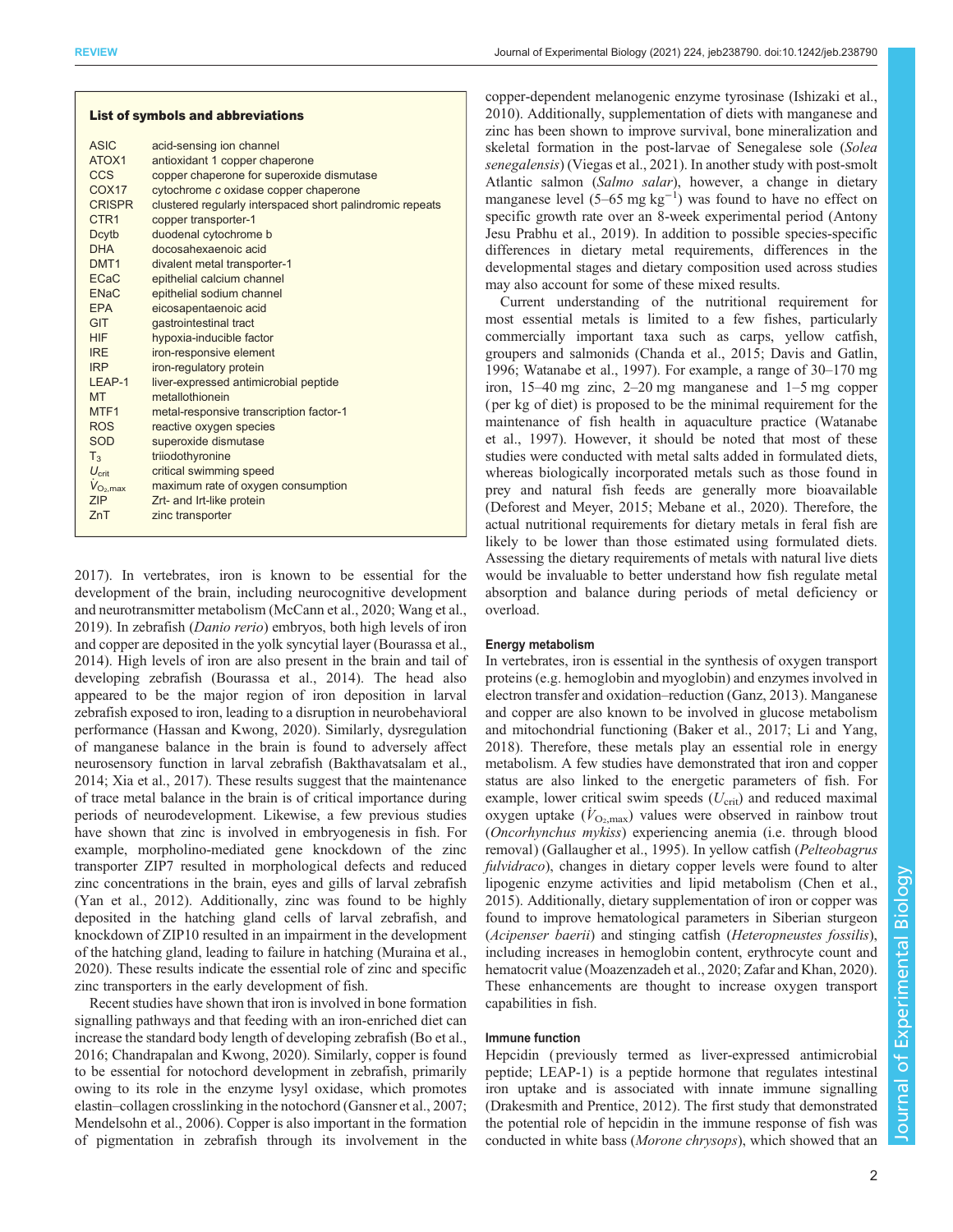| <b>List of symbols and abbreviations</b> |                                                           |  |  |
|------------------------------------------|-----------------------------------------------------------|--|--|
| <b>ASIC</b>                              | acid-sensing ion channel                                  |  |  |
| ATOX1                                    | antioxidant 1 copper chaperone                            |  |  |
| <b>CCS</b>                               | copper chaperone for superoxide dismutase                 |  |  |
| COX <sub>17</sub>                        | cytochrome c oxidase copper chaperone                     |  |  |
| <b>CRISPR</b>                            | clustered regularly interspaced short palindromic repeats |  |  |
| CTR <sub>1</sub>                         | copper transporter-1                                      |  |  |
| Dcytb                                    | duodenal cytochrome b                                     |  |  |
| <b>DHA</b>                               | docosahexaenoic acid                                      |  |  |
| DMT <sub>1</sub>                         | divalent metal transporter-1                              |  |  |
| <b>ECaC</b>                              | epithelial calcium channel                                |  |  |
| <b>ENaC</b>                              | epithelial sodium channel                                 |  |  |
| <b>EPA</b>                               | eicosapentaenoic acid                                     |  |  |
| <b>GIT</b>                               | gastrointestinal tract                                    |  |  |
| <b>HIF</b>                               | hypoxia-inducible factor                                  |  |  |
| <b>IRE</b>                               | iron-responsive element                                   |  |  |
| <b>IRP</b>                               | iron-regulatory protein                                   |  |  |
| LEAP-1                                   | liver-expressed antimicrobial peptide                     |  |  |
| <b>MT</b>                                | metallothionein                                           |  |  |
| MTF1                                     | metal-responsive transcription factor-1                   |  |  |
| <b>ROS</b>                               | reactive oxygen species                                   |  |  |
| SOD                                      | superoxide dismutase                                      |  |  |
| $T_3$                                    | triiodothyronine                                          |  |  |
| $U_{\rm crit}$                           | critical swimming speed                                   |  |  |
| $V_{O_2, max}$                           | maximum rate of oxygen consumption                        |  |  |
| <b>ZIP</b>                               | Zrt- and Irt-like protein                                 |  |  |
| ZnT                                      | zinc transporter                                          |  |  |

[2017](#page-7-0)). In vertebrates, iron is known to be essential for the development of the brain, including neurocognitive development and neurotransmitter metabolism ([McCann et al., 2020](#page-9-0); [Wang et al.,](#page-11-0) [2019](#page-11-0)). In zebrafish (Danio rerio) embryos, both high levels of iron and copper are deposited in the yolk syncytial layer [\(Bourassa et al.,](#page-7-0) [2014](#page-7-0)). High levels of iron are also present in the brain and tail of developing zebrafish ([Bourassa et al., 2014\)](#page-7-0). The head also appeared to be the major region of iron deposition in larval zebrafish exposed to iron, leading to a disruption in neurobehavioral performance ([Hassan and Kwong, 2020\)](#page-9-0). Similarly, dysregulation of manganese balance in the brain is found to adversely affect neurosensory function in larval zebrafish [\(Bakthavatsalam et al.,](#page-7-0) [2014](#page-7-0); [Xia et al., 2017\)](#page-11-0). These results suggest that the maintenance of trace metal balance in the brain is of critical importance during periods of neurodevelopment. Likewise, a few previous studies have shown that zinc is involved in embryogenesis in fish. For example, morpholino-mediated gene knockdown of the zinc transporter ZIP7 resulted in morphological defects and reduced zinc concentrations in the brain, eyes and gills of larval zebrafish [\(Yan et al., 2012](#page-11-0)). Additionally, zinc was found to be highly deposited in the hatching gland cells of larval zebrafish, and knockdown of ZIP10 resulted in an impairment in the development of the hatching gland, leading to failure in hatching [\(Muraina et al.,](#page-10-0) [2020](#page-10-0)). These results indicate the essential role of zinc and specific zinc transporters in the early development of fish.

Recent studies have shown that iron is involved in bone formation signalling pathways and that feeding with an iron-enriched diet can increase the standard body length of developing zebrafish ([Bo et al.,](#page-7-0) [2016](#page-7-0); [Chandrapalan and Kwong, 2020](#page-8-0)). Similarly, copper is found to be essential for notochord development in zebrafish, primarily owing to its role in the enzyme lysyl oxidase, which promotes elastin–collagen crosslinking in the notochord ([Gansner et al., 2007](#page-8-0); [Mendelsohn et al., 2006](#page-9-0)). Copper is also important in the formation of pigmentation in zebrafish through its involvement in the

copper-dependent melanogenic enzyme tyrosinase [\(Ishizaki et al.,](#page-9-0) [2010\)](#page-9-0). Additionally, supplementation of diets with manganese and zinc has been shown to improve survival, bone mineralization and skeletal formation in the post-larvae of Senegalese sole (Solea senegalensis) ([Viegas et al., 2021\)](#page-11-0). In another study with post-smolt Atlantic salmon (Salmo salar), however, a change in dietary manganese level  $(5-65 \text{ mg kg}^{-1})$  was found to have no effect on specific growth rate over an 8-week experimental period ([Antony](#page-7-0) [Jesu Prabhu et al., 2019](#page-7-0)). In addition to possible species-specific differences in dietary metal requirements, differences in the developmental stages and dietary composition used across studies may also account for some of these mixed results.

Current understanding of the nutritional requirement for most essential metals is limited to a few fishes, particularly commercially important taxa such as carps, yellow catfish, groupers and salmonids [\(Chanda et al., 2015; Davis and Gatlin,](#page-8-0) [1996;](#page-8-0) [Watanabe et al., 1997](#page-11-0)). For example, a range of 30–170 mg iron, 15–40 mg zinc, 2–20 mg manganese and 1–5 mg copper ( per kg of diet) is proposed to be the minimal requirement for the maintenance of fish health in aquaculture practice ([Watanabe](#page-11-0) [et al., 1997\)](#page-11-0). However, it should be noted that most of these studies were conducted with metal salts added in formulated diets, whereas biologically incorporated metals such as those found in prey and natural fish feeds are generally more bioavailable [\(Deforest and Meyer, 2015;](#page-8-0) [Mebane et al., 2020](#page-9-0)). Therefore, the actual nutritional requirements for dietary metals in feral fish are likely to be lower than those estimated using formulated diets. Assessing the dietary requirements of metals with natural live diets would be invaluable to better understand how fish regulate metal absorption and balance during periods of metal deficiency or overload.

## Energy metabolism

In vertebrates, iron is essential in the synthesis of oxygen transport proteins (e.g. hemoglobin and myoglobin) and enzymes involved in electron transfer and oxidation–reduction [\(Ganz, 2013\)](#page-8-0). Manganese and copper are also known to be involved in glucose metabolism and mitochondrial functioning ([Baker et al., 2017;](#page-7-0) [Li and Yang,](#page-9-0) [2018\)](#page-9-0). Therefore, these metals play an essential role in energy metabolism. A few studies have demonstrated that iron and copper status are also linked to the energetic parameters of fish. For example, lower critical swim speeds  $(U_{\text{crit}})$  and reduced maximal oxygen uptake  $(\dot{V}_{\text{O}_2,\text{max}})$  values were observed in rainbow trout (Oncorhynchus mykiss) experiencing anemia (i.e. through blood removal) [\(Gallaugher et al., 1995\)](#page-8-0). In yellow catfish (Pelteobagrus fulvidraco), changes in dietary copper levels were found to alter lipogenic enzyme activities and lipid metabolism [\(Chen et al.,](#page-8-0) [2015\)](#page-8-0). Additionally, dietary supplementation of iron or copper was found to improve hematological parameters in Siberian sturgeon (Acipenser baerii) and stinging catfish (Heteropneustes fossilis), including increases in hemoglobin content, erythrocyte count and hematocrit value ([Moazenzadeh et al., 2020;](#page-10-0) [Zafar and Khan, 2020\)](#page-11-0). These enhancements are thought to increase oxygen transport capabilities in fish.

## Immune function

Hepcidin ( previously termed as liver-expressed antimicrobial peptide; LEAP-1) is a peptide hormone that regulates intestinal iron uptake and is associated with innate immune signalling [\(Drakesmith and Prentice, 2012\)](#page-8-0). The first study that demonstrated the potential role of hepcidin in the immune response of fish was conducted in white bass (Morone chrysops), which showed that an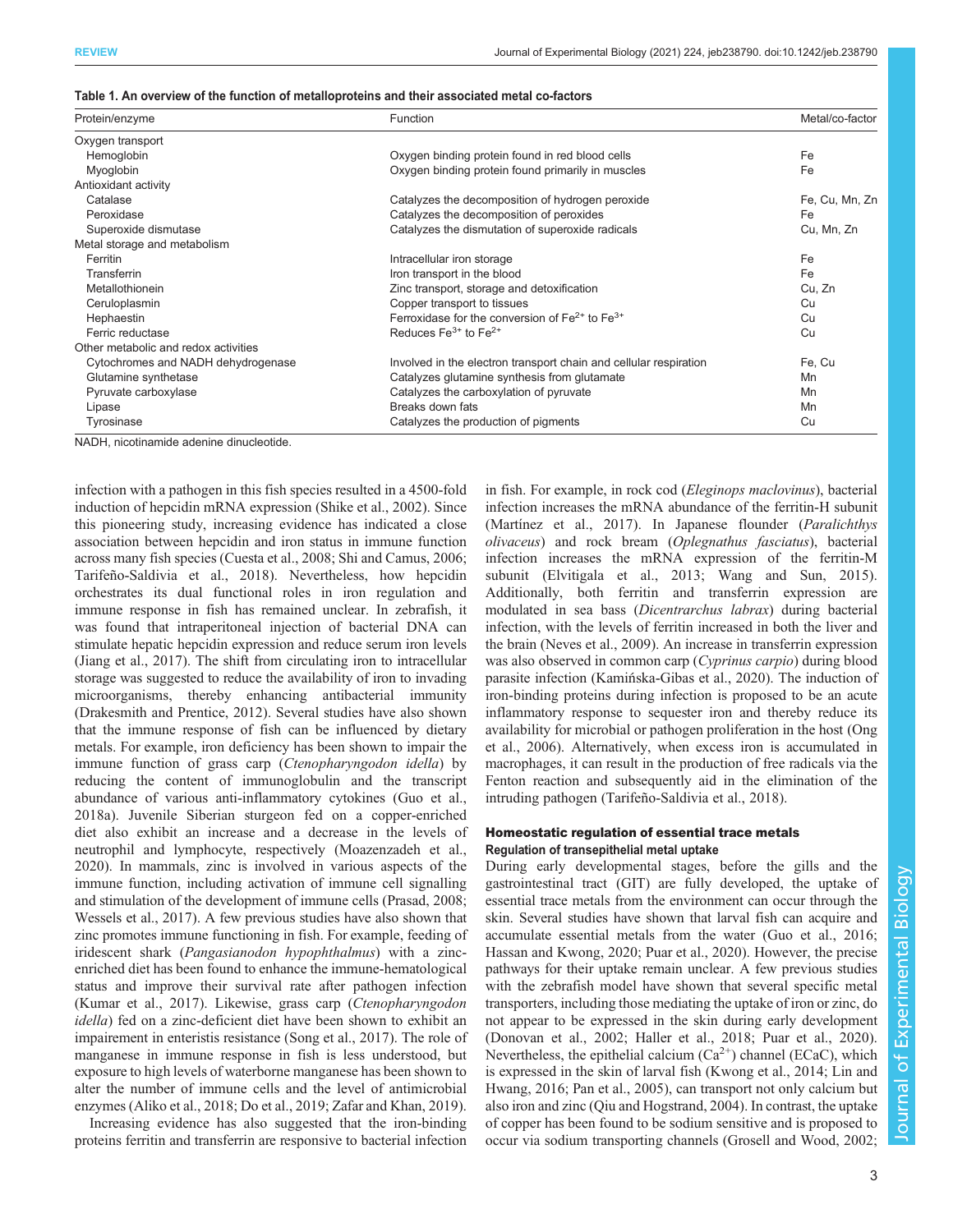| Protein/enzyme                       | Function                                                          | Metal/co-factor |
|--------------------------------------|-------------------------------------------------------------------|-----------------|
| Oxygen transport                     |                                                                   |                 |
| Hemoglobin                           | Oxygen binding protein found in red blood cells                   | Fe              |
| Myoglobin                            | Oxygen binding protein found primarily in muscles                 | Fe              |
| Antioxidant activity                 |                                                                   |                 |
| Catalase                             | Catalyzes the decomposition of hydrogen peroxide                  | Fe, Cu, Mn, Zn  |
| Peroxidase                           | Catalyzes the decomposition of peroxides                          | Fe              |
| Superoxide dismutase                 | Catalyzes the dismutation of superoxide radicals                  | Cu, Mn, Zn      |
| Metal storage and metabolism         |                                                                   |                 |
| Ferritin                             | Intracellular iron storage                                        | Fe              |
| Transferrin                          | Iron transport in the blood                                       | Fe              |
| Metallothionein                      | Zinc transport, storage and detoxification                        | Cu, Zn          |
| Ceruloplasmin                        | Copper transport to tissues                                       | Cu              |
| Hephaestin                           | Ferroxidase for the conversion of $Fe^{2+}$ to $Fe^{3+}$          | Cu              |
| Ferric reductase                     | Reduces $Fe^{3+}$ to $Fe^{2+}$                                    | Cu              |
| Other metabolic and redox activities |                                                                   |                 |
| Cytochromes and NADH dehydrogenase   | Involved in the electron transport chain and cellular respiration | Fe, Cu          |
| Glutamine synthetase                 | Catalyzes glutamine synthesis from glutamate                      | Mn              |
| Pyruvate carboxylase                 | Catalyzes the carboxylation of pyruvate                           | Mn              |
| Lipase                               | Breaks down fats                                                  | Mn              |
| Tyrosinase                           | Catalyzes the production of pigments                              | Cu              |

<span id="page-2-0"></span>

|  |  |  |  |  | Table 1. An overview of the function of metalloproteins and their associated metal co-factors |  |  |
|--|--|--|--|--|-----------------------------------------------------------------------------------------------|--|--|
|--|--|--|--|--|-----------------------------------------------------------------------------------------------|--|--|

NADH, nicotinamide adenine dinucleotide.

infection with a pathogen in this fish species resulted in a 4500-fold induction of hepcidin mRNA expression ([Shike et al., 2002](#page-10-0)). Since this pioneering study, increasing evidence has indicated a close association between hepcidin and iron status in immune function across many fish species [\(Cuesta et al., 2008;](#page-8-0) [Shi and Camus, 2006](#page-10-0); [Tarifeño-Saldivia et al., 2018](#page-10-0)). Nevertheless, how hepcidin orchestrates its dual functional roles in iron regulation and immune response in fish has remained unclear. In zebrafish, it was found that intraperitoneal injection of bacterial DNA can stimulate hepatic hepcidin expression and reduce serum iron levels [\(Jiang et al., 2017](#page-9-0)). The shift from circulating iron to intracellular storage was suggested to reduce the availability of iron to invading microorganisms, thereby enhancing antibacterial immunity [\(Drakesmith and Prentice, 2012\)](#page-8-0). Several studies have also shown that the immune response of fish can be influenced by dietary metals. For example, iron deficiency has been shown to impair the immune function of grass carp (Ctenopharyngodon idella) by reducing the content of immunoglobulin and the transcript abundance of various anti-inflammatory cytokines ([Guo et al.,](#page-9-0) [2018a](#page-9-0)). Juvenile Siberian sturgeon fed on a copper-enriched diet also exhibit an increase and a decrease in the levels of neutrophil and lymphocyte, respectively ([Moazenzadeh et al.,](#page-10-0) [2020](#page-10-0)). In mammals, zinc is involved in various aspects of the immune function, including activation of immune cell signalling and stimulation of the development of immune cells ([Prasad, 2008](#page-10-0); [Wessels et al., 2017\)](#page-11-0). A few previous studies have also shown that zinc promotes immune functioning in fish. For example, feeding of iridescent shark (Pangasianodon hypophthalmus) with a zincenriched diet has been found to enhance the immune-hematological status and improve their survival rate after pathogen infection [\(Kumar et al., 2017](#page-9-0)). Likewise, grass carp (Ctenopharyngodon idella) fed on a zinc-deficient diet have been shown to exhibit an impairement in enteristis resistance ([Song et al., 2017](#page-10-0)). The role of manganese in immune response in fish is less understood, but exposure to high levels of waterborne manganese has been shown to alter the number of immune cells and the level of antimicrobial enzymes ([Aliko et al., 2018](#page-7-0); [Do et al., 2019](#page-8-0); [Zafar and Khan, 2019\)](#page-11-0).

Increasing evidence has also suggested that the iron-binding proteins ferritin and transferrin are responsive to bacterial infection in fish. For example, in rock cod (Eleginops maclovinus), bacterial infection increases the mRNA abundance of the ferritin-H subunit [\(Martínez et al., 2017\)](#page-9-0). In Japanese flounder (Paralichthys olivaceus) and rock bream (Oplegnathus fasciatus), bacterial infection increases the mRNA expression of the ferritin-M subunit ([Elvitigala et al., 2013;](#page-8-0) [Wang and Sun, 2015\)](#page-11-0). Additionally, both ferritin and transferrin expression are modulated in sea bass (Dicentrarchus labrax) during bacterial infection, with the levels of ferritin increased in both the liver and the brain ([Neves et al., 2009](#page-10-0)). An increase in transferrin expression was also observed in common carp (Cyprinus carpio) during blood parasite infection (Kamiń [ska-Gibas et al., 2020\)](#page-9-0). The induction of iron-binding proteins during infection is proposed to be an acute inflammatory response to sequester iron and thereby reduce its availability for microbial or pathogen proliferation in the host ([Ong](#page-10-0) [et al., 2006\)](#page-10-0). Alternatively, when excess iron is accumulated in macrophages, it can result in the production of free radicals via the Fenton reaction and subsequently aid in the elimination of the intruding pathogen [\(Tarifeño-Saldivia et al., 2018\)](#page-10-0).

# Homeostatic regulation of essential trace metals Regulation of transepithelial metal uptake

During early developmental stages, before the gills and the gastrointestinal tract (GIT) are fully developed, the uptake of essential trace metals from the environment can occur through the skin. Several studies have shown that larval fish can acquire and accumulate essential metals from the water [\(Guo et al., 2016](#page-9-0); [Hassan and Kwong, 2020;](#page-9-0) [Puar et al., 2020\)](#page-10-0). However, the precise pathways for their uptake remain unclear. A few previous studies with the zebrafish model have shown that several specific metal transporters, including those mediating the uptake of iron or zinc, do not appear to be expressed in the skin during early development [\(Donovan et al., 2002;](#page-8-0) [Haller et al., 2018;](#page-9-0) [Puar et al., 2020\)](#page-10-0). Nevertheless, the epithelial calcium  $(Ca^{2+})$  channel (ECaC), which is expressed in the skin of larval fish ([Kwong et al., 2014; Lin and](#page-9-0) [Hwang, 2016](#page-9-0); [Pan et al., 2005\)](#page-10-0), can transport not only calcium but also iron and zinc ([Qiu and Hogstrand, 2004](#page-10-0)). In contrast, the uptake of copper has been found to be sodium sensitive and is proposed to occur via sodium transporting channels ([Grosell and Wood, 2002](#page-9-0);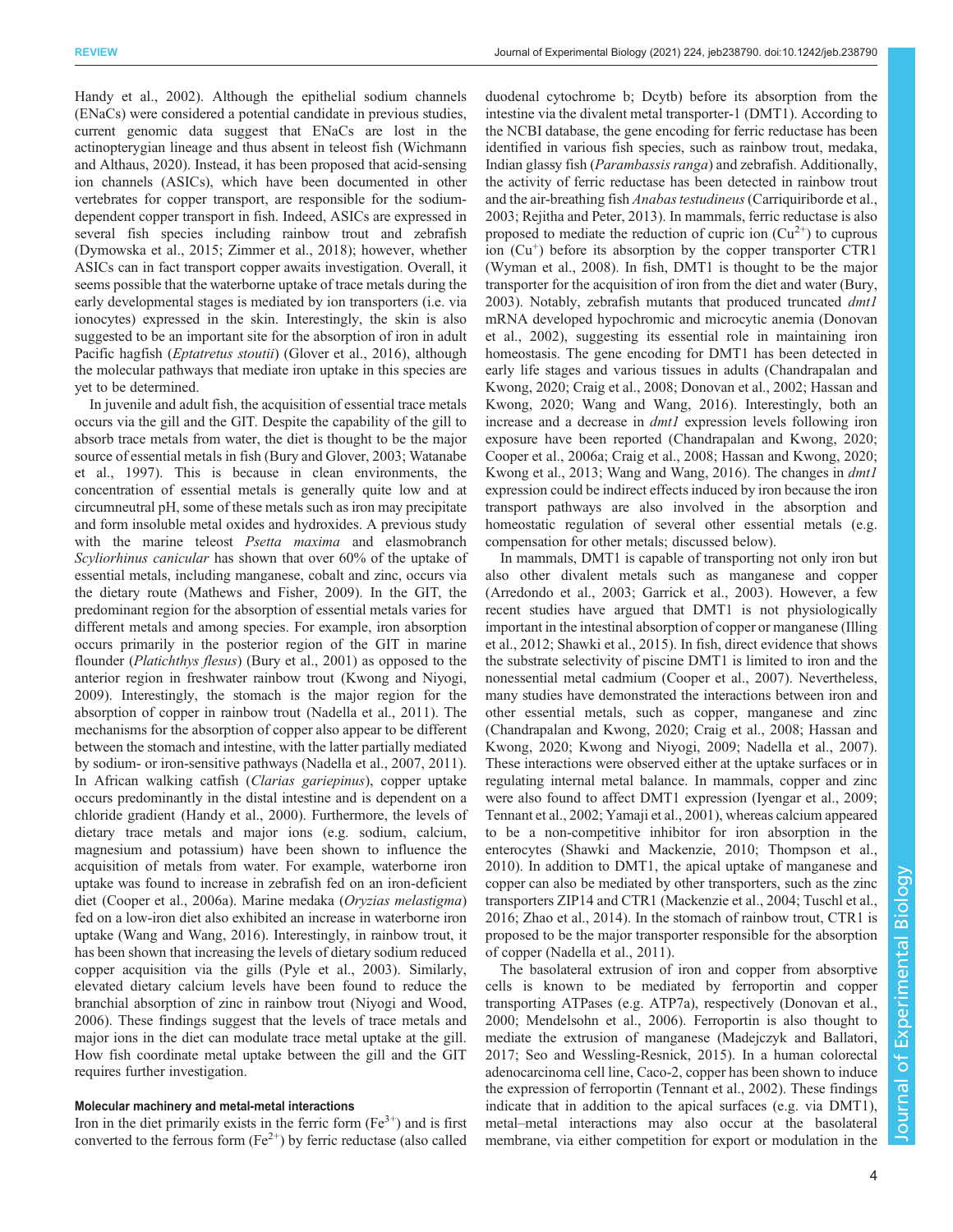[Handy et al., 2002\)](#page-9-0). Although the epithelial sodium channels (ENaCs) were considered a potential candidate in previous studies, current genomic data suggest that ENaCs are lost in the actinopterygian lineage and thus absent in teleost fish ([Wichmann](#page-11-0) [and Althaus, 2020](#page-11-0)). Instead, it has been proposed that acid-sensing ion channels (ASICs), which have been documented in other vertebrates for copper transport, are responsible for the sodiumdependent copper transport in fish. Indeed, ASICs are expressed in several fish species including rainbow trout and zebrafish [\(Dymowska et al., 2015;](#page-8-0) [Zimmer et al., 2018](#page-11-0)); however, whether ASICs can in fact transport copper awaits investigation. Overall, it seems possible that the waterborne uptake of trace metals during the early developmental stages is mediated by ion transporters (i.e. via ionocytes) expressed in the skin. Interestingly, the skin is also suggested to be an important site for the absorption of iron in adult Pacific hagfish (Eptatretus stoutii) ([Glover et al., 2016](#page-8-0)), although the molecular pathways that mediate iron uptake in this species are yet to be determined.

In juvenile and adult fish, the acquisition of essential trace metals occurs via the gill and the GIT. Despite the capability of the gill to absorb trace metals from water, the diet is thought to be the major source of essential metals in fish [\(Bury and Glover, 2003](#page-8-0); [Watanabe](#page-11-0) [et al., 1997\)](#page-11-0). This is because in clean environments, the concentration of essential metals is generally quite low and at circumneutral pH, some of these metals such as iron may precipitate and form insoluble metal oxides and hydroxides. A previous study with the marine teleost *Psetta maxima* and elasmobranch Scyliorhinus canicular has shown that over 60% of the uptake of essential metals, including manganese, cobalt and zinc, occurs via the dietary route [\(Mathews and Fisher, 2009\)](#page-9-0). In the GIT, the predominant region for the absorption of essential metals varies for different metals and among species. For example, iron absorption occurs primarily in the posterior region of the GIT in marine flounder (Platichthys flesus) ([Bury et al., 2001\)](#page-8-0) as opposed to the anterior region in freshwater rainbow trout [\(Kwong and Niyogi,](#page-9-0) [2009](#page-9-0)). Interestingly, the stomach is the major region for the absorption of copper in rainbow trout [\(Nadella et al., 2011\)](#page-10-0). The mechanisms for the absorption of copper also appear to be different between the stomach and intestine, with the latter partially mediated by sodium- or iron-sensitive pathways ([Nadella et al., 2007, 2011\)](#page-10-0). In African walking catfish (Clarias gariepinus), copper uptake occurs predominantly in the distal intestine and is dependent on a chloride gradient ([Handy et al., 2000\)](#page-9-0). Furthermore, the levels of dietary trace metals and major ions (e.g. sodium, calcium, magnesium and potassium) have been shown to influence the acquisition of metals from water. For example, waterborne iron uptake was found to increase in zebrafish fed on an iron-deficient diet ([Cooper et al., 2006a\)](#page-8-0). Marine medaka (Oryzias melastigma) fed on a low-iron diet also exhibited an increase in waterborne iron uptake [\(Wang and Wang, 2016](#page-11-0)). Interestingly, in rainbow trout, it has been shown that increasing the levels of dietary sodium reduced copper acquisition via the gills ([Pyle et al., 2003](#page-10-0)). Similarly, elevated dietary calcium levels have been found to reduce the branchial absorption of zinc in rainbow trout [\(Niyogi and Wood,](#page-10-0) [2006](#page-10-0)). These findings suggest that the levels of trace metals and major ions in the diet can modulate trace metal uptake at the gill. How fish coordinate metal uptake between the gill and the GIT requires further investigation.

## Molecular machinery and metal-metal interactions

Iron in the diet primarily exists in the ferric form  $(Fe<sup>3+</sup>)$  and is first converted to the ferrous form  $(Fe^{2+})$  by ferric reductase (also called duodenal cytochrome b; Dcytb) before its absorption from the intestine via the divalent metal transporter-1 (DMT1). According to the NCBI database, the gene encoding for ferric reductase has been identified in various fish species, such as rainbow trout, medaka, Indian glassy fish (Parambassis ranga) and zebrafish. Additionally, the activity of ferric reductase has been detected in rainbow trout and the air-breathing fish Anabas testudineus ([Carriquiriborde et al.,](#page-8-0) [2003;](#page-8-0) [Rejitha and Peter, 2013\)](#page-10-0). In mammals, ferric reductase is also proposed to mediate the reduction of cupric ion  $(Cu^{2+})$  to cuprous ion  $(Cu^+)$  before its absorption by the copper transporter CTR1 [\(Wyman et al., 2008\)](#page-11-0). In fish, DMT1 is thought to be the major transporter for the acquisition of iron from the diet and water ([Bury,](#page-8-0) [2003\)](#page-8-0). Notably, zebrafish mutants that produced truncated  $dmt1$ mRNA developed hypochromic and microcytic anemia [\(Donovan](#page-8-0) [et al., 2002\)](#page-8-0), suggesting its essential role in maintaining iron homeostasis. The gene encoding for DMT1 has been detected in early life stages and various tissues in adults [\(Chandrapalan and](#page-8-0) [Kwong, 2020; Craig et al., 2008; Donovan et al., 2002](#page-8-0); [Hassan and](#page-9-0) [Kwong, 2020](#page-9-0); [Wang and Wang, 2016\)](#page-11-0). Interestingly, both an increase and a decrease in *dmt1* expression levels following iron exposure have been reported ([Chandrapalan and Kwong, 2020](#page-8-0); [Cooper et al., 2006a](#page-8-0); [Craig et al., 2008;](#page-8-0) [Hassan and Kwong, 2020](#page-9-0); [Kwong et al., 2013;](#page-9-0) [Wang and Wang, 2016](#page-11-0)). The changes in  $dmt1$ expression could be indirect effects induced by iron because the iron transport pathways are also involved in the absorption and homeostatic regulation of several other essential metals (e.g. compensation for other metals; discussed below).

In mammals, DMT1 is capable of transporting not only iron but also other divalent metals such as manganese and copper [\(Arredondo et al., 2003;](#page-7-0) [Garrick et al., 2003](#page-8-0)). However, a few recent studies have argued that DMT1 is not physiologically important in the intestinal absorption of copper or manganese ([Illing](#page-9-0) [et al., 2012](#page-9-0); [Shawki et al., 2015\)](#page-10-0). In fish, direct evidence that shows the substrate selectivity of piscine DMT1 is limited to iron and the nonessential metal cadmium [\(Cooper et al., 2007](#page-8-0)). Nevertheless, many studies have demonstrated the interactions between iron and other essential metals, such as copper, manganese and zinc [\(Chandrapalan and Kwong, 2020](#page-8-0); [Craig et al., 2008;](#page-8-0) [Hassan and](#page-9-0) [Kwong, 2020](#page-9-0); [Kwong and Niyogi, 2009](#page-9-0); [Nadella et al., 2007\)](#page-10-0). These interactions were observed either at the uptake surfaces or in regulating internal metal balance. In mammals, copper and zinc were also found to affect DMT1 expression [\(Iyengar et al., 2009](#page-9-0); [Tennant et al., 2002;](#page-10-0) [Yamaji et al., 2001](#page-11-0)), whereas calcium appeared to be a non-competitive inhibitor for iron absorption in the enterocytes ([Shawki and Mackenzie, 2010](#page-10-0); [Thompson et al.,](#page-11-0) [2010\)](#page-11-0). In addition to DMT1, the apical uptake of manganese and copper can also be mediated by other transporters, such as the zinc transporters ZIP14 and CTR1 ([Mackenzie et al., 2004;](#page-9-0) [Tuschl et al.,](#page-11-0) [2016; Zhao et al., 2014](#page-11-0)). In the stomach of rainbow trout, CTR1 is proposed to be the major transporter responsible for the absorption of copper ([Nadella et al., 2011](#page-10-0)).

The basolateral extrusion of iron and copper from absorptive cells is known to be mediated by ferroportin and copper transporting ATPases (e.g. ATP7a), respectively [\(Donovan et al.,](#page-8-0) [2000;](#page-8-0) [Mendelsohn et al., 2006\)](#page-9-0). Ferroportin is also thought to mediate the extrusion of manganese [\(Madejczyk and Ballatori,](#page-9-0) [2017;](#page-9-0) [Seo and Wessling-Resnick, 2015](#page-10-0)). In a human colorectal adenocarcinoma cell line, Caco-2, copper has been shown to induce the expression of ferroportin ([Tennant et al., 2002](#page-10-0)). These findings indicate that in addition to the apical surfaces (e.g. via DMT1), metal–metal interactions may also occur at the basolateral membrane, via either competition for export or modulation in the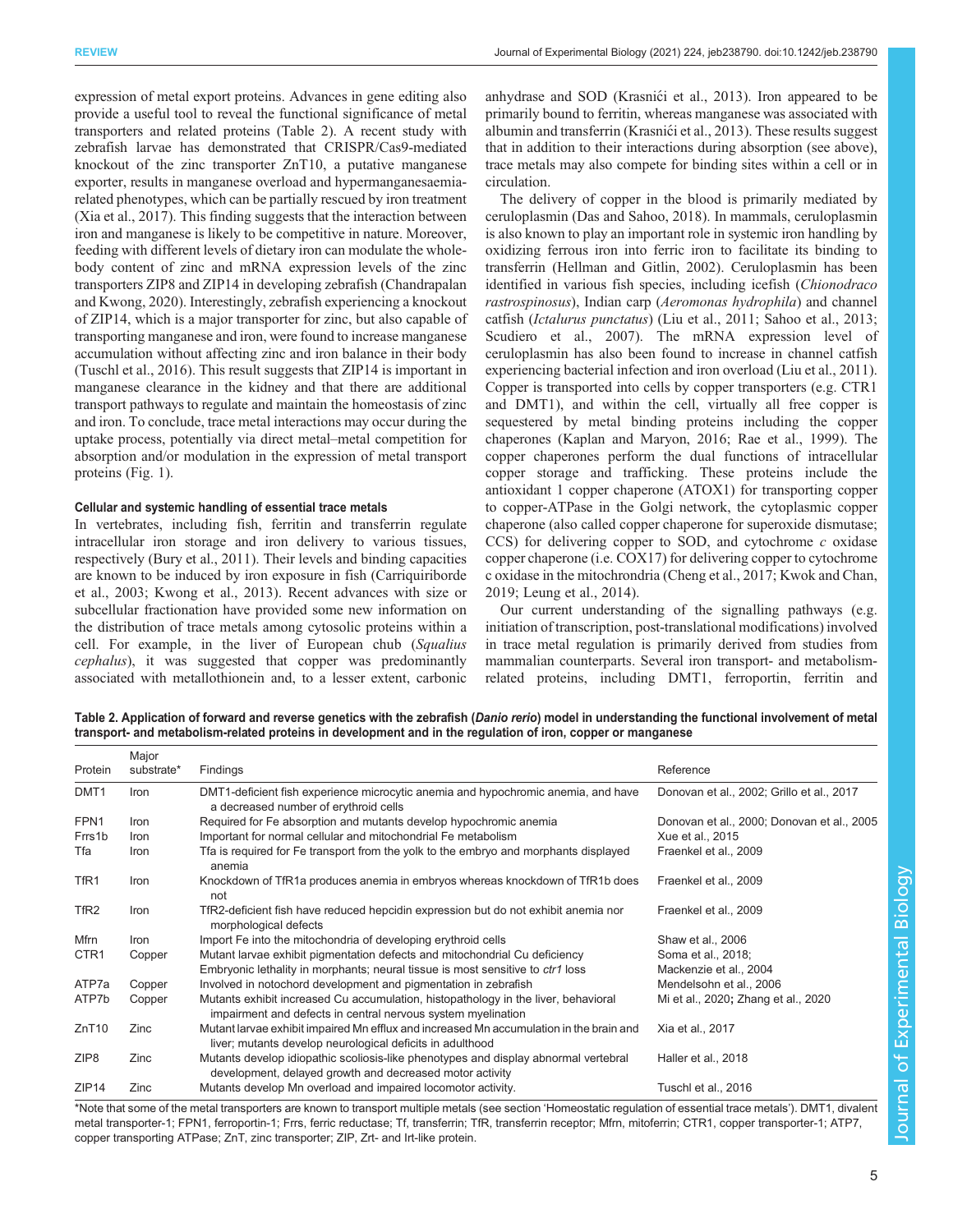expression of metal export proteins. Advances in gene editing also provide a useful tool to reveal the functional significance of metal transporters and related proteins (Table 2). A recent study with zebrafish larvae has demonstrated that CRISPR/Cas9-mediated knockout of the zinc transporter ZnT10, a putative manganese exporter, results in manganese overload and hypermanganesaemiarelated phenotypes, which can be partially rescued by iron treatment [\(Xia et al., 2017](#page-11-0)). This finding suggests that the interaction between iron and manganese is likely to be competitive in nature. Moreover, feeding with different levels of dietary iron can modulate the wholebody content of zinc and mRNA expression levels of the zinc transporters ZIP8 and ZIP14 in developing zebrafish ([Chandrapalan](#page-8-0) [and Kwong, 2020\)](#page-8-0). Interestingly, zebrafish experiencing a knockout of ZIP14, which is a major transporter for zinc, but also capable of transporting manganese and iron, were found to increase manganese accumulation without affecting zinc and iron balance in their body [\(Tuschl et al., 2016](#page-11-0)). This result suggests that ZIP14 is important in manganese clearance in the kidney and that there are additional transport pathways to regulate and maintain the homeostasis of zinc and iron. To conclude, trace metal interactions may occur during the uptake process, potentially via direct metal–metal competition for absorption and/or modulation in the expression of metal transport proteins ([Fig. 1](#page-5-0)).

#### Cellular and systemic handling of essential trace metals

In vertebrates, including fish, ferritin and transferrin regulate intracellular iron storage and iron delivery to various tissues, respectively [\(Bury et al., 2011](#page-8-0)). Their levels and binding capacities are known to be induced by iron exposure in fish ([Carriquiriborde](#page-8-0) [et al., 2003;](#page-8-0) [Kwong et al., 2013\)](#page-9-0). Recent advances with size or subcellular fractionation have provided some new information on the distribution of trace metals among cytosolic proteins within a cell. For example, in the liver of European chub (Squalius cephalus), it was suggested that copper was predominantly associated with metallothionein and, to a lesser extent, carbonic anhydrase and SOD [\(Krasnici et al., 2013\)](#page-9-0). Iron appeared to be ́ primarily bound to ferritin, whereas manganese was associated with albumin and transferrin ([Krasnici et al., 2013](#page-9-0)). These results suggest ́ that in addition to their interactions during absorption (see above), trace metals may also compete for binding sites within a cell or in circulation.

The delivery of copper in the blood is primarily mediated by ceruloplasmin ([Das and Sahoo, 2018](#page-8-0)). In mammals, ceruloplasmin is also known to play an important role in systemic iron handling by oxidizing ferrous iron into ferric iron to facilitate its binding to transferrin [\(Hellman and Gitlin, 2002](#page-9-0)). Ceruloplasmin has been identified in various fish species, including icefish (Chionodraco rastrospinosus), Indian carp (Aeromonas hydrophila) and channel catfish (Ictalurus punctatus) ([Liu et al., 2011;](#page-9-0) [Sahoo et al., 2013](#page-10-0); [Scudiero et al., 2007](#page-10-0)). The mRNA expression level of ceruloplasmin has also been found to increase in channel catfish experiencing bacterial infection and iron overload [\(Liu et al., 2011\)](#page-9-0). Copper is transported into cells by copper transporters (e.g. CTR1 and DMT1), and within the cell, virtually all free copper is sequestered by metal binding proteins including the copper chaperones ([Kaplan and Maryon, 2016](#page-9-0); [Rae et al., 1999](#page-10-0)). The copper chaperones perform the dual functions of intracellular copper storage and trafficking. These proteins include the antioxidant 1 copper chaperone (ATOX1) for transporting copper to copper-ATPase in the Golgi network, the cytoplasmic copper chaperone (also called copper chaperone for superoxide dismutase; CCS) for delivering copper to SOD, and cytochrome  $c$  oxidase copper chaperone (i.e. COX17) for delivering copper to cytochrome c oxidase in the mitochrondria [\(Cheng et al., 2017;](#page-8-0) [Kwok and Chan,](#page-9-0) [2019; Leung et al., 2014\)](#page-9-0).

Our current understanding of the signalling pathways (e.g. initiation of transcription, post-translational modifications) involved in trace metal regulation is primarily derived from studies from mammalian counterparts. Several iron transport- and metabolismrelated proteins, including DMT1, ferroportin, ferritin and

Table 2. Application of forward and reverse genetics with the zebrafish (Danio rerio) model in understanding the functional involvement of metal transport- and metabolism-related proteins in development and in the regulation of iron, copper or manganese

| Major       |                                                                                                                                                      |                                            |
|-------------|------------------------------------------------------------------------------------------------------------------------------------------------------|--------------------------------------------|
| substrate*  | Findings                                                                                                                                             | Reference                                  |
| Iron        | DMT1-deficient fish experience microcytic anemia and hypochromic anemia, and have<br>a decreased number of erythroid cells                           | Donovan et al., 2002; Grillo et al., 2017  |
| Iron        | Required for Fe absorption and mutants develop hypochromic anemia                                                                                    | Donovan et al., 2000; Donovan et al., 2005 |
| Iron        | Important for normal cellular and mitochondrial Fe metabolism                                                                                        | Xue et al., 2015                           |
| Iron        | Tfa is required for Fe transport from the yolk to the embryo and morphants displayed<br>anemia                                                       | Fraenkel et al., 2009                      |
| Iron        | Knockdown of TfR1a produces anemia in embryos whereas knockdown of TfR1b does<br>not                                                                 | Fraenkel et al., 2009                      |
| Iron        | TfR2-deficient fish have reduced hepcidin expression but do not exhibit anemia nor<br>morphological defects                                          | Fraenkel et al., 2009                      |
| Iron        | Import Fe into the mitochondria of developing erythroid cells                                                                                        | Shaw et al., 2006                          |
| Copper      | Mutant larvae exhibit pigmentation defects and mitochondrial Cu deficiency                                                                           | Soma et al., 2018;                         |
|             | Embryonic lethality in morphants; neural tissue is most sensitive to <i>ctr1</i> loss                                                                | Mackenzie et al., 2004                     |
| Copper      | Involved in notochord development and pigmentation in zebrafish                                                                                      | Mendelsohn et al., 2006                    |
| Copper      | Mutants exhibit increased Cu accumulation, histopathology in the liver, behavioral<br>impairment and defects in central nervous system myelination   | Mi et al., 2020; Zhang et al., 2020        |
| <b>Zinc</b> | Mutant larvae exhibit impaired Mn efflux and increased Mn accumulation in the brain and<br>liver; mutants develop neurological deficits in adulthood | Xia et al., 2017                           |
| Zinc        | Mutants develop idiopathic scoliosis-like phenotypes and display abnormal vertebral<br>development, delayed growth and decreased motor activity      | Haller et al., 2018                        |
| Zinc        | Mutants develop Mn overload and impaired locomotor activity.                                                                                         | Tuschl et al., 2016                        |
|             |                                                                                                                                                      |                                            |

\*Note that some of the metal transporters are known to transport multiple metals (see section 'Homeostatic regulation of essential trace metals'). DMT1, divalent metal transporter-1; FPN1, ferroportin-1; Frrs, ferric reductase; Tf, transferrin; TfR, transferrin receptor; Mfrn, mitoferrin; CTR1, copper transporter-1; ATP7, copper transporting ATPase; ZnT, zinc transporter; ZIP, Zrt- and Irt-like protein.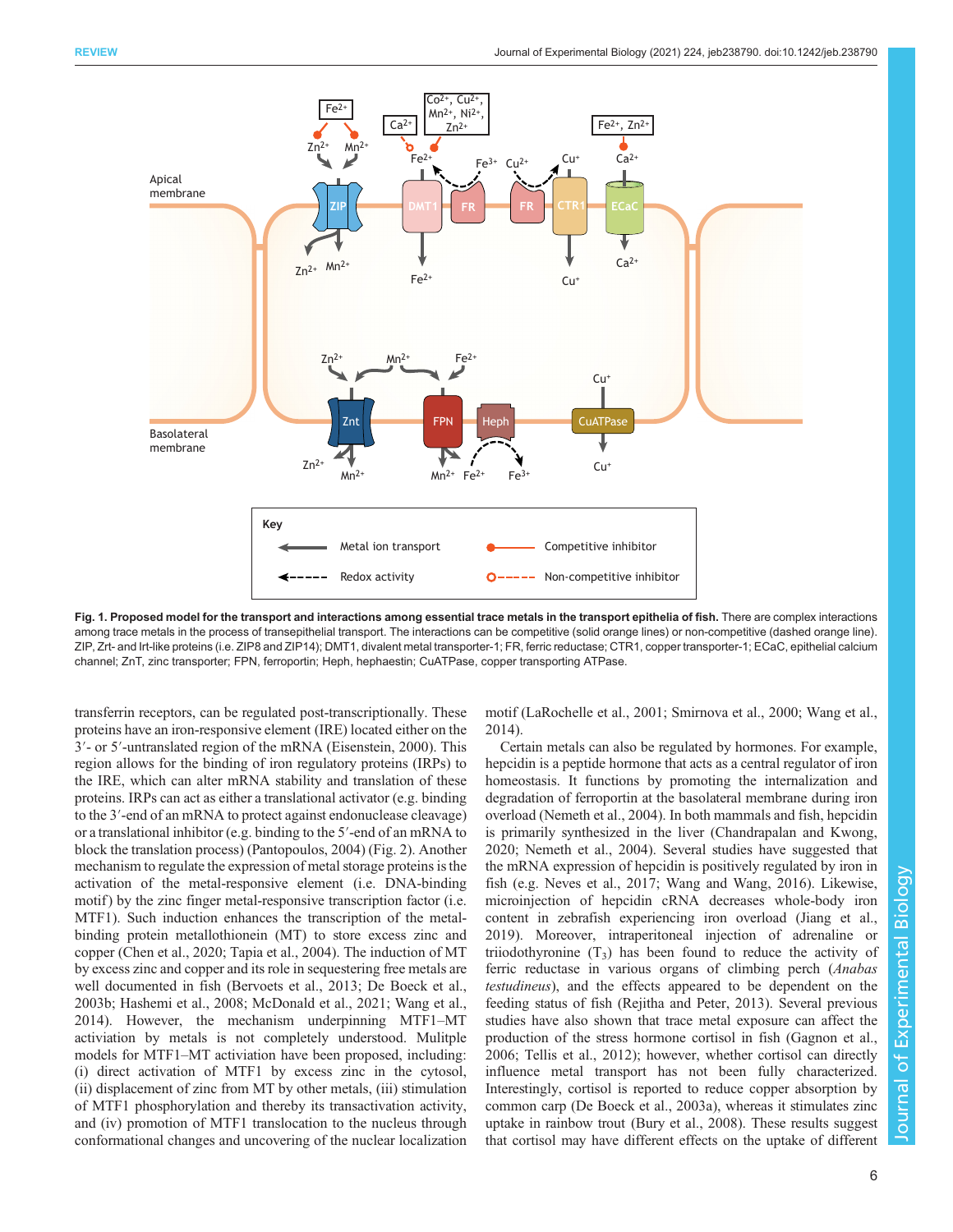<span id="page-5-0"></span>

Fig. 1. Proposed model for the transport and interactions among essential trace metals in the transport epithelia of fish. There are complex interactions among trace metals in the process of transepithelial transport. The interactions can be competitive (solid orange lines) or non-competitive (dashed orange line). ZIP, Zrt- and Irt-like proteins (i.e. ZIP8 and ZIP14); DMT1, divalent metal transporter-1; FR, ferric reductase; CTR1, copper transporter-1; ECaC, epithelial calcium channel; ZnT, zinc transporter; FPN, ferroportin; Heph, hephaestin; CuATPase, copper transporting ATPase.

transferrin receptors, can be regulated post-transcriptionally. These proteins have an iron-responsive element (IRE) located either on the 3′- or 5′-untranslated region of the mRNA [\(Eisenstein, 2000](#page-8-0)). This region allows for the binding of iron regulatory proteins (IRPs) to the IRE, which can alter mRNA stability and translation of these proteins. IRPs can act as either a translational activator (e.g. binding to the 3′-end of an mRNA to protect against endonuclease cleavage) or a translational inhibitor (e.g. binding to the 5′-end of an mRNA to block the translation process) ([Pantopoulos, 2004\)](#page-10-0) ([Fig. 2\)](#page-6-0). Another mechanism to regulate the expression of metal storage proteins is the activation of the metal-responsive element (i.e. DNA-binding motif) by the zinc finger metal-responsive transcription factor (i.e. MTF1). Such induction enhances the transcription of the metalbinding protein metallothionein (MT) to store excess zinc and copper ([Chen et al., 2020](#page-8-0); [Tapia et al., 2004](#page-10-0)). The induction of MT by excess zinc and copper and its role in sequestering free metals are well documented in fish ([Bervoets et al., 2013](#page-7-0); [De Boeck et al.,](#page-8-0) [2003b;](#page-8-0) [Hashemi et al., 2008; McDonald et al., 2021](#page-9-0); [Wang et al.,](#page-11-0) [2014](#page-11-0)). However, the mechanism underpinning MTF1–MT activiation by metals is not completely understood. Mulitple models for MTF1–MT activiation have been proposed, including: (i) direct activation of MTF1 by excess zinc in the cytosol, (ii) displacement of zinc from MT by other metals, (iii) stimulation of MTF1 phosphorylation and thereby its transactivation activity, and (iv) promotion of MTF1 translocation to the nucleus through conformational changes and uncovering of the nuclear localization motif [\(LaRochelle et al., 2001](#page-9-0); [Smirnova et al., 2000](#page-10-0); [Wang et al.,](#page-11-0) [2014\)](#page-11-0).

Certain metals can also be regulated by hormones. For example, hepcidin is a peptide hormone that acts as a central regulator of iron homeostasis. It functions by promoting the internalization and degradation of ferroportin at the basolateral membrane during iron overload ([Nemeth et al., 2004\)](#page-10-0). In both mammals and fish, hepcidin is primarily synthesized in the liver ([Chandrapalan and Kwong,](#page-8-0) [2020;](#page-8-0) [Nemeth et al., 2004\)](#page-10-0). Several studies have suggested that the mRNA expression of hepcidin is positively regulated by iron in fish (e.g. [Neves et al., 2017;](#page-10-0) [Wang and Wang, 2016](#page-11-0)). Likewise, microinjection of hepcidin cRNA decreases whole-body iron content in zebrafish experiencing iron overload [\(Jiang et al.,](#page-9-0) [2019\)](#page-9-0). Moreover, intraperitoneal injection of adrenaline or triiodothyronine  $(T_3)$  has been found to reduce the activity of ferric reductase in various organs of climbing perch (Anabas testudineus), and the effects appeared to be dependent on the feeding status of fish [\(Rejitha and Peter, 2013\)](#page-10-0). Several previous studies have also shown that trace metal exposure can affect the production of the stress hormone cortisol in fish [\(Gagnon et al.,](#page-8-0) [2006;](#page-8-0) [Tellis et al., 2012](#page-10-0)); however, whether cortisol can directly influence metal transport has not been fully characterized. Interestingly, cortisol is reported to reduce copper absorption by common carp [\(De Boeck et al., 2003a\)](#page-8-0), whereas it stimulates zinc uptake in rainbow trout ([Bury et al., 2008](#page-8-0)). These results suggest that cortisol may have different effects on the uptake of different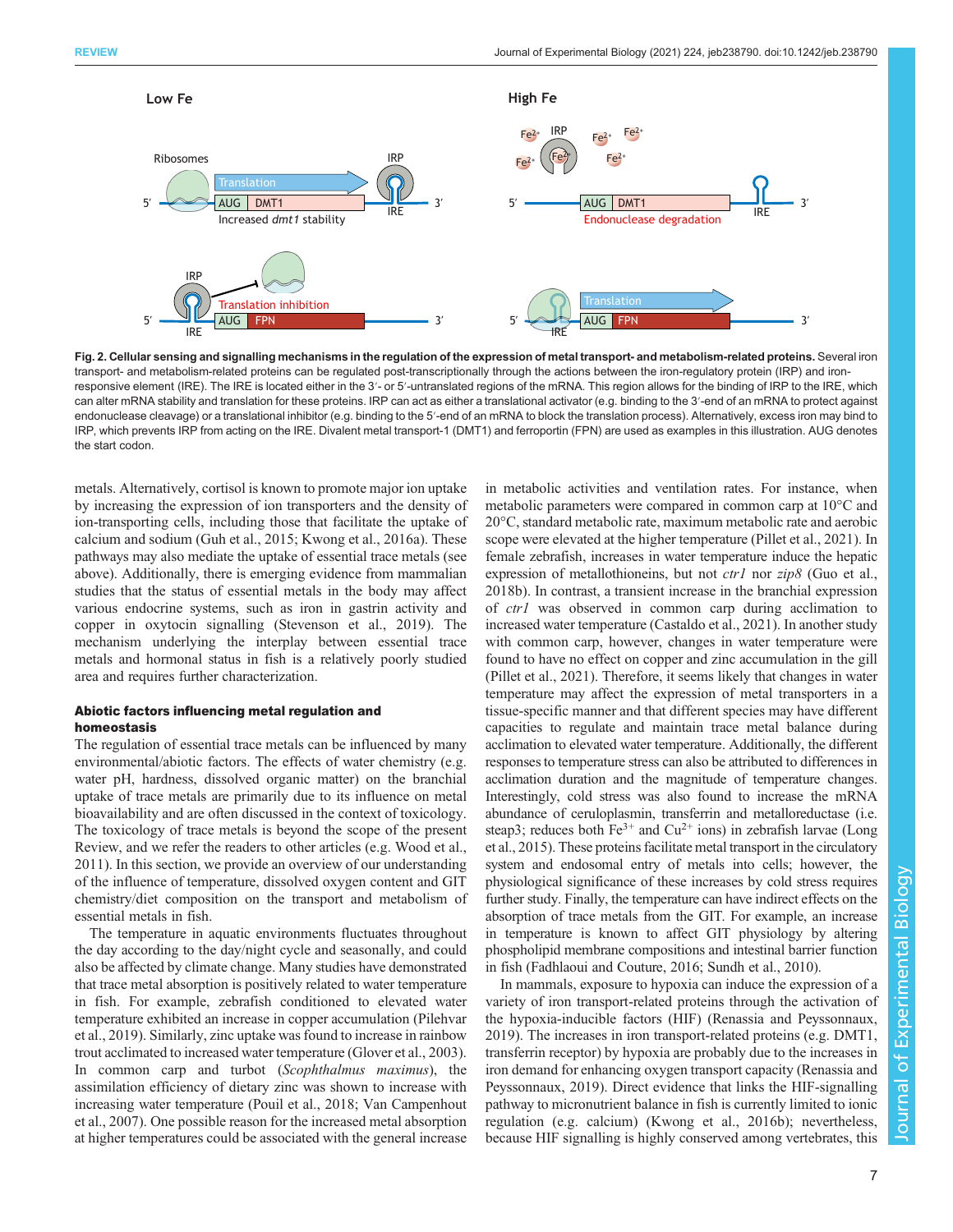<span id="page-6-0"></span>

Fig. 2. Cellular sensing and signalling mechanisms in the regulation of the expression of metal transport- and metabolism-related proteins. Several iron transport- and metabolism-related proteins can be regulated post-transcriptionally through the actions between the iron-regulatory protein (IRP) and ironresponsive element (IRE). The IRE is located either in the 3′- or 5′-untranslated regions of the mRNA. This region allows for the binding of IRP to the IRE, which can alter mRNA stability and translation for these proteins. IRP can act as either a translational activator (e.g. binding to the 3'-end of an mRNA to protect against endonuclease cleavage) or a translational inhibitor (e.g. binding to the 5'-end of an mRNA to block the translation process). Alternatively, excess iron may bind to IRP, which prevents IRP from acting on the IRE. Divalent metal transport-1 (DMT1) and ferroportin (FPN) are used as examples in this illustration. AUG denotes the start codon.

metals. Alternatively, cortisol is known to promote major ion uptake by increasing the expression of ion transporters and the density of ion-transporting cells, including those that facilitate the uptake of calcium and sodium ([Guh et al., 2015](#page-9-0); Kwong et al., [2016a\)](#page-9-0). These pathways may also mediate the uptake of essential trace metals (see above). Additionally, there is emerging evidence from mammalian studies that the status of essential metals in the body may affect various endocrine systems, such as iron in gastrin activity and copper in oxytocin signalling [\(Stevenson et al., 2019\)](#page-10-0). The mechanism underlying the interplay between essential trace metals and hormonal status in fish is a relatively poorly studied area and requires further characterization.

# Abiotic factors influencing metal regulation and homeostasis

The regulation of essential trace metals can be influenced by many environmental/abiotic factors. The effects of water chemistry (e.g. water pH, hardness, dissolved organic matter) on the branchial uptake of trace metals are primarily due to its influence on metal bioavailability and are often discussed in the context of toxicology. The toxicology of trace metals is beyond the scope of the present Review, and we refer the readers to other articles (e.g. [Wood et al.,](#page-11-0) [2011](#page-11-0)). In this section, we provide an overview of our understanding of the influence of temperature, dissolved oxygen content and GIT chemistry/diet composition on the transport and metabolism of essential metals in fish.

The temperature in aquatic environments fluctuates throughout the day according to the day/night cycle and seasonally, and could also be affected by climate change. Many studies have demonstrated that trace metal absorption is positively related to water temperature in fish. For example, zebrafish conditioned to elevated water temperature exhibited an increase in copper accumulation ([Pilehvar](#page-10-0) [et al., 2019\)](#page-10-0). Similarly, zinc uptake was found to increase in rainbow trout acclimated to increased water temperature [\(Glover et al., 2003\)](#page-8-0). In common carp and turbot (Scophthalmus maximus), the assimilation efficiency of dietary zinc was shown to increase with increasing water temperature ([Pouil et al., 2018;](#page-10-0) [Van Campenhout](#page-11-0) [et al., 2007](#page-11-0)). One possible reason for the increased metal absorption at higher temperatures could be associated with the general increase in metabolic activities and ventilation rates. For instance, when metabolic parameters were compared in common carp at 10°C and 20°C, standard metabolic rate, maximum metabolic rate and aerobic scope were elevated at the higher temperature ([Pillet et al., 2021\)](#page-10-0). In female zebrafish, increases in water temperature induce the hepatic expression of metallothioneins, but not  $ctrl$  nor  $zip8$  (Guo et al., [2018b\)](#page-9-0). In contrast, a transient increase in the branchial expression of ctr1 was observed in common carp during acclimation to increased water temperature ([Castaldo et al., 2021](#page-8-0)). In another study with common carp, however, changes in water temperature were found to have no effect on copper and zinc accumulation in the gill [\(Pillet et al., 2021](#page-10-0)). Therefore, it seems likely that changes in water temperature may affect the expression of metal transporters in a tissue-specific manner and that different species may have different capacities to regulate and maintain trace metal balance during acclimation to elevated water temperature. Additionally, the different responses to temperature stress can also be attributed to differences in acclimation duration and the magnitude of temperature changes. Interestingly, cold stress was also found to increase the mRNA abundance of ceruloplasmin, transferrin and metalloreductase (i.e. steap3; reduces both  $Fe^{3+}$  and  $Cu^{2+}$  ions) in zebrafish larvae [\(Long](#page-9-0) [et al., 2015\)](#page-9-0). These proteins facilitate metal transport in the circulatory system and endosomal entry of metals into cells; however, the physiological significance of these increases by cold stress requires further study. Finally, the temperature can have indirect effects on the absorption of trace metals from the GIT. For example, an increase in temperature is known to affect GIT physiology by altering phospholipid membrane compositions and intestinal barrier function in fish [\(Fadhlaoui and Couture, 2016;](#page-8-0) [Sundh et al., 2010\)](#page-10-0).

In mammals, exposure to hypoxia can induce the expression of a variety of iron transport-related proteins through the activation of the hypoxia-inducible factors (HIF) ([Renassia and Peyssonnaux,](#page-10-0) [2019\)](#page-10-0). The increases in iron transport-related proteins (e.g. DMT1, transferrin receptor) by hypoxia are probably due to the increases in iron demand for enhancing oxygen transport capacity [\(Renassia and](#page-10-0) [Peyssonnaux, 2019](#page-10-0)). Direct evidence that links the HIF-signalling pathway to micronutrient balance in fish is currently limited to ionic regulation (e.g. calcium) [\(Kwong et al., 2016b](#page-9-0)); nevertheless, because HIF signalling is highly conserved among vertebrates, this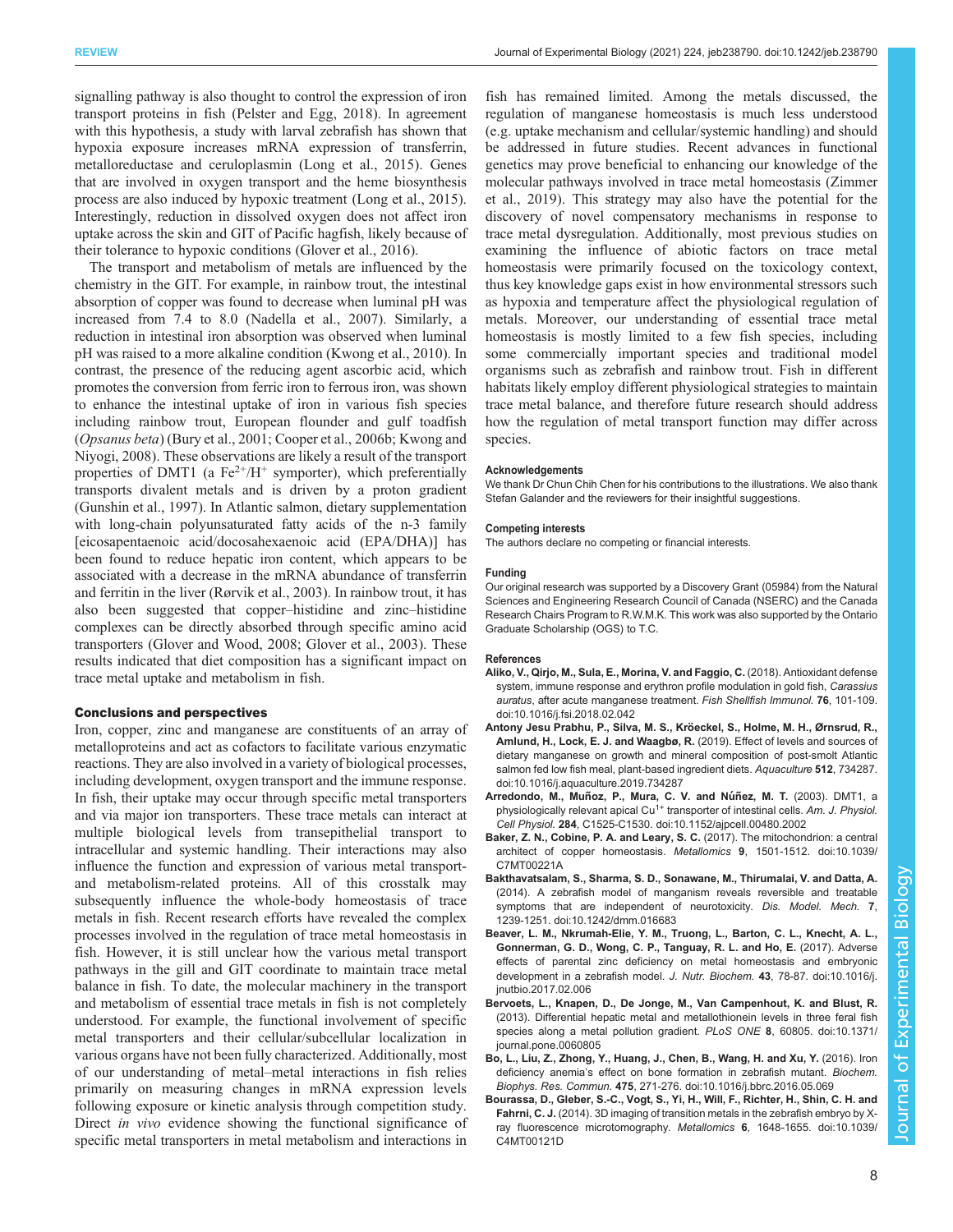<span id="page-7-0"></span>signalling pathway is also thought to control the expression of iron transport proteins in fish [\(Pelster and Egg, 2018\)](#page-10-0). In agreement with this hypothesis, a study with larval zebrafish has shown that hypoxia exposure increases mRNA expression of transferrin, metalloreductase and ceruloplasmin [\(Long et al., 2015](#page-9-0)). Genes that are involved in oxygen transport and the heme biosynthesis process are also induced by hypoxic treatment [\(Long et al., 2015\)](#page-9-0). Interestingly, reduction in dissolved oxygen does not affect iron uptake across the skin and GIT of Pacific hagfish, likely because of their tolerance to hypoxic conditions ([Glover et al., 2016\)](#page-8-0).

The transport and metabolism of metals are influenced by the chemistry in the GIT. For example, in rainbow trout, the intestinal absorption of copper was found to decrease when luminal pH was increased from 7.4 to 8.0 [\(Nadella et al., 2007](#page-10-0)). Similarly, a reduction in intestinal iron absorption was observed when luminal pH was raised to a more alkaline condition ([Kwong et al., 2010\)](#page-9-0). In contrast, the presence of the reducing agent ascorbic acid, which promotes the conversion from ferric iron to ferrous iron, was shown to enhance the intestinal uptake of iron in various fish species including rainbow trout, European flounder and gulf toadfish (Opsanus beta) [\(Bury et al., 2001](#page-8-0); [Cooper et al., 2006b;](#page-8-0) [Kwong and](#page-9-0) [Niyogi, 2008](#page-9-0)). These observations are likely a result of the transport properties of DMT1 (a  $Fe^{2+}/H^+$  symporter), which preferentially transports divalent metals and is driven by a proton gradient [\(Gunshin et al., 1997](#page-9-0)). In Atlantic salmon, dietary supplementation with long-chain polyunsaturated fatty acids of the n-3 family [eicosapentaenoic acid/docosahexaenoic acid (EPA/DHA)] has been found to reduce hepatic iron content, which appears to be associated with a decrease in the mRNA abundance of transferrin and ferritin in the liver [\(Rørvik et al., 2003](#page-10-0)). In rainbow trout, it has also been suggested that copper–histidine and zinc–histidine complexes can be directly absorbed through specific amino acid transporters [\(Glover and Wood, 2008](#page-8-0); [Glover et al., 2003\)](#page-8-0). These results indicated that diet composition has a significant impact on trace metal uptake and metabolism in fish.

#### Conclusions and perspectives

Iron, copper, zinc and manganese are constituents of an array of metalloproteins and act as cofactors to facilitate various enzymatic reactions. They are also involved in a variety of biological processes, including development, oxygen transport and the immune response. In fish, their uptake may occur through specific metal transporters and via major ion transporters. These trace metals can interact at multiple biological levels from transepithelial transport to intracellular and systemic handling. Their interactions may also influence the function and expression of various metal transportand metabolism-related proteins. All of this crosstalk may subsequently influence the whole-body homeostasis of trace metals in fish. Recent research efforts have revealed the complex processes involved in the regulation of trace metal homeostasis in fish. However, it is still unclear how the various metal transport pathways in the gill and GIT coordinate to maintain trace metal balance in fish. To date, the molecular machinery in the transport and metabolism of essential trace metals in fish is not completely understood. For example, the functional involvement of specific metal transporters and their cellular/subcellular localization in various organs have not been fully characterized. Additionally, most of our understanding of metal–metal interactions in fish relies primarily on measuring changes in mRNA expression levels following exposure or kinetic analysis through competition study. Direct in vivo evidence showing the functional significance of specific metal transporters in metal metabolism and interactions in

fish has remained limited. Among the metals discussed, the regulation of manganese homeostasis is much less understood (e.g. uptake mechanism and cellular/systemic handling) and should be addressed in future studies. Recent advances in functional genetics may prove beneficial to enhancing our knowledge of the molecular pathways involved in trace metal homeostasis ([Zimmer](#page-11-0) [et al., 2019\)](#page-11-0). This strategy may also have the potential for the discovery of novel compensatory mechanisms in response to trace metal dysregulation. Additionally, most previous studies on examining the influence of abiotic factors on trace metal homeostasis were primarily focused on the toxicology context, thus key knowledge gaps exist in how environmental stressors such as hypoxia and temperature affect the physiological regulation of metals. Moreover, our understanding of essential trace metal homeostasis is mostly limited to a few fish species, including some commercially important species and traditional model organisms such as zebrafish and rainbow trout. Fish in different habitats likely employ different physiological strategies to maintain trace metal balance, and therefore future research should address how the regulation of metal transport function may differ across species.

#### **Acknowledgements**

We thank Dr Chun Chih Chen for his contributions to the illustrations. We also thank Stefan Galander and the reviewers for their insightful suggestions.

#### Competing interests

The authors declare no competing or financial interests.

## Funding

Our original research was supported by a Discovery Grant (05984) from the Natural Sciences and Engineering Research Council of Canada (NSERC) and the Canada Research Chairs Program to R.W.M.K. This work was also supported by the Ontario Graduate Scholarship (OGS) to T.C.

#### References

- [Aliko, V., Qirjo, M., Sula, E., Morina, V. and Faggio, C.](https://doi.org/10.1016/j.fsi.2018.02.042) (2018). Antioxidant defense [system, immune response and erythron profile modulation in gold fish,](https://doi.org/10.1016/j.fsi.2018.02.042) Carassius auratus[, after acute manganese treatment.](https://doi.org/10.1016/j.fsi.2018.02.042) Fish Shellfish Immunol. 76, 101-109. [doi:10.1016/j.fsi.2018.02.042](https://doi.org/10.1016/j.fsi.2018.02.042)
- Antony Jesu Prabhu, P., Silva, M. S., Kröeckel, S., Holme, M. H., Ørnsrud, R., [Amlund, H., Lock, E. J. and Waagbø, R.](https://doi.org/10.1016/j.aquaculture.2019.734287) (2019). Effect of levels and sources of [dietary manganese on growth and mineral composition of post-smolt Atlantic](https://doi.org/10.1016/j.aquaculture.2019.734287) [salmon fed low fish meal, plant-based ingredient diets.](https://doi.org/10.1016/j.aquaculture.2019.734287) Aquaculture 512, 734287. [doi:10.1016/j.aquaculture.2019.734287](https://doi.org/10.1016/j.aquaculture.2019.734287)
- Arredondo, M., Muñoz, P., Mura, C. V. and Núñez, M. T. (2003). DMT1, a physiologically relevant apical  $Cu^{1+}$  [transporter of intestinal cells.](https://doi.org/10.1152/ajpcell.00480.2002) Am. J. Physiol. Cell Physiol. 284[, C1525-C1530. doi:10.1152/ajpcell.00480.2002](https://doi.org/10.1152/ajpcell.00480.2002)
- [Baker, Z. N., Cobine, P. A. and Leary, S. C.](https://doi.org/10.1039/C7MT00221A) (2017). The mitochondrion: a central [architect of copper homeostasis.](https://doi.org/10.1039/C7MT00221A) Metallomics 9, 1501-1512. doi:10.1039/ [C7MT00221A](https://doi.org/10.1039/C7MT00221A)
- [Bakthavatsalam, S., Sharma, S. D., Sonawane, M., Thirumalai, V. and Datta, A.](https://doi.org/10.1242/dmm.016683) [\(2014\). A zebrafish model of manganism reveals reversible and treatable](https://doi.org/10.1242/dmm.016683) [symptoms that are independent of neurotoxicity.](https://doi.org/10.1242/dmm.016683) Dis. Model. Mech. 7, [1239-1251. doi:10.1242/dmm.016683](https://doi.org/10.1242/dmm.016683)
- [Beaver, L. M., Nkrumah-Elie, Y. M., Truong, L., Barton, C. L., Knecht, A. L.,](https://doi.org/10.1016/j.jnutbio.2017.02.006) [Gonnerman, G. D., Wong, C. P., Tanguay, R. L. and Ho, E.](https://doi.org/10.1016/j.jnutbio.2017.02.006) (2017). Adverse [effects of parental zinc deficiency on metal homeostasis and embryonic](https://doi.org/10.1016/j.jnutbio.2017.02.006) [development in a zebrafish model.](https://doi.org/10.1016/j.jnutbio.2017.02.006) J. Nutr. Biochem. 43, 78-87. doi:10.1016/j. [jnutbio.2017.02.006](https://doi.org/10.1016/j.jnutbio.2017.02.006)
- [Bervoets, L., Knapen, D., De Jonge, M., Van Campenhout, K. and Blust, R.](https://doi.org/10.1371/journal.pone.0060805) [\(2013\). Differential hepatic metal and metallothionein levels in three feral fish](https://doi.org/10.1371/journal.pone.0060805) [species along a metal pollution gradient.](https://doi.org/10.1371/journal.pone.0060805) PLoS ONE 8, 60805. doi:10.1371/ [journal.pone.0060805](https://doi.org/10.1371/journal.pone.0060805)
- [Bo, L., Liu, Z., Zhong, Y., Huang, J., Chen, B., Wang, H. and Xu, Y.](https://doi.org/10.1016/j.bbrc.2016.05.069) (2016). Iron deficiency anemia'[s effect on bone formation in zebrafish mutant.](https://doi.org/10.1016/j.bbrc.2016.05.069) Biochem. Biophys. Res. Commun. 475[, 271-276. doi:10.1016/j.bbrc.2016.05.069](https://doi.org/10.1016/j.bbrc.2016.05.069)
- [Bourassa, D., Gleber, S.-C., Vogt, S., Yi, H., Will, F., Richter, H., Shin, C. H. and](https://doi.org/10.1039/C4MT00121D) Fahrni, C. J. [\(2014\). 3D imaging of transition metals in the zebrafish embryo by X](https://doi.org/10.1039/C4MT00121D)[ray fluorescence microtomography.](https://doi.org/10.1039/C4MT00121D) Metallomics 6, 1648-1655. doi:10.1039/ [C4MT00121D](https://doi.org/10.1039/C4MT00121D)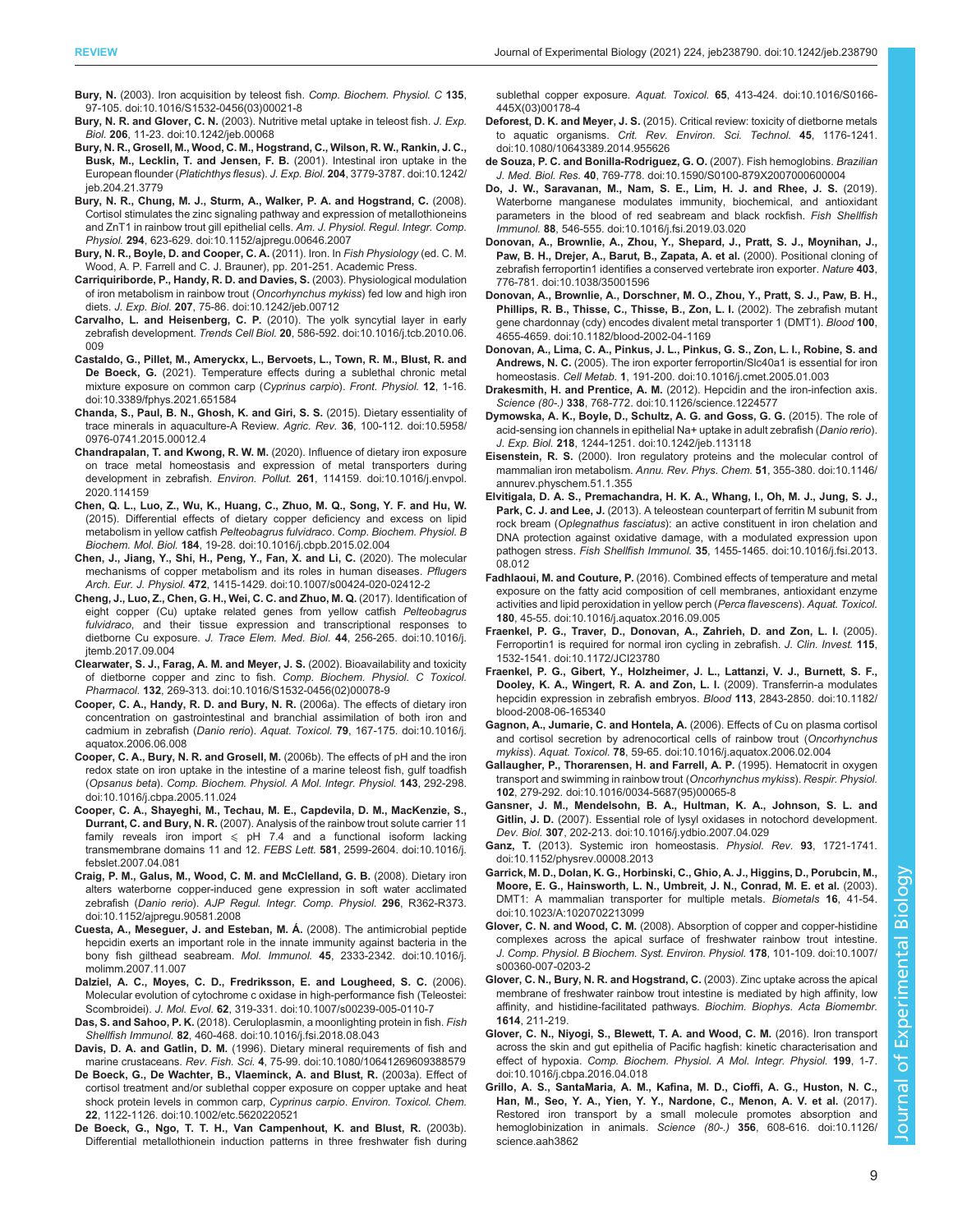<span id="page-8-0"></span>Bury, N. [\(2003\). Iron acquisition by teleost fish.](https://doi.org/10.1016/S1532-0456(03)00021-8) Comp. Biochem. Physiol. C 135, [97-105. doi:10.1016/S1532-0456\(03\)00021-8](https://doi.org/10.1016/S1532-0456(03)00021-8)

Bury, N. R. and Glover, C. N. [\(2003\). Nutritive metal uptake in teleost fish.](https://doi.org/10.1242/jeb.00068) J. Exp. Biol. 206[, 11-23. doi:10.1242/jeb.00068](https://doi.org/10.1242/jeb.00068)

[Bury, N. R., Grosell, M., Wood, C. M., Hogstrand, C., Wilson, R. W., Rankin, J. C.,](https://doi.org/10.1242/jeb.204.21.3779) [Busk, M., Lecklin, T. and Jensen, F. B.](https://doi.org/10.1242/jeb.204.21.3779) (2001). Intestinal iron uptake in the European flounder (Platichthys flesus). J. Exp. Biol. 204[, 3779-3787. doi:10.1242/](https://doi.org/10.1242/jeb.204.21.3779) [jeb.204.21.3779](https://doi.org/10.1242/jeb.204.21.3779)

[Bury, N. R., Chung, M. J., Sturm, A., Walker, P. A. and Hogstrand, C.](https://doi.org/10.1152/ajpregu.00646.2007) (2008). [Cortisol stimulates the zinc signaling pathway and expression of metallothioneins](https://doi.org/10.1152/ajpregu.00646.2007) [and ZnT1 in rainbow trout gill epithelial cells.](https://doi.org/10.1152/ajpregu.00646.2007) Am. J. Physiol. Regul. Integr. Comp. Physiol. 294[, 623-629. doi:10.1152/ajpregu.00646.2007](https://doi.org/10.1152/ajpregu.00646.2007)

- Bury, N. R., Boyle, D. and Cooper, C. A. (2011). Iron. In Fish Physiology (ed. C. M. Wood, A. P. Farrell and C. J. Brauner), pp. 201-251. Academic Press.
- [Carriquiriborde, P., Handy, R. D. and Davies, S.](https://doi.org/10.1242/jeb.00712) (2003). Physiological modulation [of iron metabolism in rainbow trout \(](https://doi.org/10.1242/jeb.00712)Oncorhynchus mykiss) fed low and high iron diets. J. Exp. Biol. 207[, 75-86. doi:10.1242/jeb.00712](https://doi.org/10.1242/jeb.00712)
- Carvalho, L. and Heisenberg, C. P. [\(2010\). The yolk syncytial layer in early](https://doi.org/10.1016/j.tcb.2010.06.009) zebrafish development. Trends Cell Biol. 20[, 586-592. doi:10.1016/j.tcb.2010.06.](https://doi.org/10.1016/j.tcb.2010.06.009) [009](https://doi.org/10.1016/j.tcb.2010.06.009)
- [Castaldo, G., Pillet, M., Ameryckx, L., Bervoets, L., Town, R. M., Blust, R. and](https://doi.org/10.3389/fphys.2021.651584) De Boeck, G. [\(2021\). Temperature effects during a sublethal chronic metal](https://doi.org/10.3389/fphys.2021.651584) [mixture exposure on common carp \(](https://doi.org/10.3389/fphys.2021.651584)Cyprinus carpio). Front. Physiol. 12, 1-16. [doi:10.3389/fphys.2021.651584](https://doi.org/10.3389/fphys.2021.651584)
- [Chanda, S., Paul, B. N., Ghosh, K. and Giri, S. S.](https://doi.org/10.5958/0976-0741.2015.00012.4) (2015). Dietary essentiality of [trace minerals in aquaculture-A Review.](https://doi.org/10.5958/0976-0741.2015.00012.4) Agric. Rev. 36, 100-112. doi:10.5958/ [0976-0741.2015.00012.4](https://doi.org/10.5958/0976-0741.2015.00012.4)
- Chandrapalan, T. and Kwong, R. W. M. [\(2020\). Influence of dietary iron exposure](https://doi.org/10.1016/j.envpol.2020.114159) [on trace metal homeostasis and expression of metal transporters during](https://doi.org/10.1016/j.envpol.2020.114159) development in zebrafish. Environ. Pollut. 261[, 114159. doi:10.1016/j.envpol.](https://doi.org/10.1016/j.envpol.2020.114159) [2020.114159](https://doi.org/10.1016/j.envpol.2020.114159)
- [Chen, Q. L., Luo, Z., Wu, K., Huang, C., Zhuo, M. Q., Song, Y. F. and Hu, W.](https://doi.org/10.1016/j.cbpb.2015.02.004) [\(2015\). Differential effects of dietary copper deficiency and excess on lipid](https://doi.org/10.1016/j.cbpb.2015.02.004) [metabolism in yellow catfish](https://doi.org/10.1016/j.cbpb.2015.02.004) Pelteobagrus fulvidraco. Comp. Biochem. Physiol. B Biochem. Mol. Biol. 184[, 19-28. doi:10.1016/j.cbpb.2015.02.004](https://doi.org/10.1016/j.cbpb.2015.02.004)
- [Chen, J., Jiang, Y., Shi, H., Peng, Y., Fan, X. and Li, C.](https://doi.org/10.1007/s00424-020-02412-2) (2020). The molecular [mechanisms of copper metabolism and its roles in human diseases.](https://doi.org/10.1007/s00424-020-02412-2) *Pflugers* Arch. Eur. J. Physiol. 472[, 1415-1429. doi:10.1007/s00424-020-02412-2](https://doi.org/10.1007/s00424-020-02412-2)
- [Cheng, J., Luo, Z., Chen, G. H., Wei, C. C. and Zhuo, M. Q.](https://doi.org/10.1016/j.jtemb.2017.09.004) (2017). Identification of [eight copper \(Cu\) uptake related genes from yellow catfish](https://doi.org/10.1016/j.jtemb.2017.09.004) Pelteobagrus fulvidraco[, and their tissue expression and transcriptional responses to](https://doi.org/10.1016/j.jtemb.2017.09.004) dietborne Cu exposure. [J. Trace Elem. Med. Biol.](https://doi.org/10.1016/j.jtemb.2017.09.004) 44, 256-265. doi:10.1016/j. [jtemb.2017.09.004](https://doi.org/10.1016/j.jtemb.2017.09.004)
- [Clearwater, S. J., Farag, A. M. and Meyer, J. S.](https://doi.org/10.1016/S1532-0456(02)00078-9) (2002). Bioavailability and toxicity [of dietborne copper and zinc to fish.](https://doi.org/10.1016/S1532-0456(02)00078-9) Comp. Biochem. Physiol. C Toxicol. Pharmacol. 132[, 269-313. doi:10.1016/S1532-0456\(02\)00078-9](https://doi.org/10.1016/S1532-0456(02)00078-9)
- [Cooper, C. A., Handy, R. D. and Bury, N. R.](https://doi.org/10.1016/j.aquatox.2006.06.008) (2006a). The effects of dietary iron [concentration on gastrointestinal and branchial assimilation of both iron and](https://doi.org/10.1016/j.aquatox.2006.06.008) cadmium in zebrafish (Danio rerio). Aquat. Toxicol. 79[, 167-175. doi:10.1016/j.](https://doi.org/10.1016/j.aquatox.2006.06.008) [aquatox.2006.06.008](https://doi.org/10.1016/j.aquatox.2006.06.008)
- [Cooper, C. A., Bury, N. R. and Grosell, M.](https://doi.org/10.1016/j.cbpa.2005.11.024) (2006b). The effects of pH and the iron [redox state on iron uptake in the intestine of a marine teleost fish, gulf toadfish](https://doi.org/10.1016/j.cbpa.2005.11.024) (Opsanus beta). [Comp. Biochem. Physiol. A Mol. Integr. Physiol.](https://doi.org/10.1016/j.cbpa.2005.11.024) 143, 292-298. [doi:10.1016/j.cbpa.2005.11.024](https://doi.org/10.1016/j.cbpa.2005.11.024)
- [Cooper, C. A., Shayeghi, M., Techau, M. E., Capdevila, D. M., MacKenzie, S.,](https://doi.org/10.1016/j.febslet.2007.04.081) Durrant, C. and Bury, N. R. [\(2007\). Analysis of the rainbow trout solute carrier 11](https://doi.org/10.1016/j.febslet.2007.04.081) family reveals iron import  $\leq$  [pH 7.4 and a functional isoform lacking](https://doi.org/10.1016/j.febslet.2007.04.081) [transmembrane domains 11 and 12.](https://doi.org/10.1016/j.febslet.2007.04.081) FEBS Lett. 581, 2599-2604. doi:10.1016/j. [febslet.2007.04.081](https://doi.org/10.1016/j.febslet.2007.04.081)
- [Craig, P. M., Galus, M., Wood, C. M. and McClelland, G. B.](https://doi.org/10.1152/ajpregu.90581.2008) (2008). Dietary iron [alters waterborne copper-induced gene expression in soft water acclimated](https://doi.org/10.1152/ajpregu.90581.2008) zebrafish (Danio rerio). [AJP Regul. Integr. Comp. Physiol.](https://doi.org/10.1152/ajpregu.90581.2008) 296, R362-R373. [doi:10.1152/ajpregu.90581.2008](https://doi.org/10.1152/ajpregu.90581.2008)
- [Cuesta, A., Meseguer, J. and Esteban, M. Á.](https://doi.org/10.1016/j.molimm.2007.11.007) (2008). The antimicrobial peptide [hepcidin exerts an important role in the innate immunity against bacteria in the](https://doi.org/10.1016/j.molimm.2007.11.007) [bony fish gilthead seabream.](https://doi.org/10.1016/j.molimm.2007.11.007) Mol. Immunol. 45, 2333-2342. doi:10.1016/j. [molimm.2007.11.007](https://doi.org/10.1016/j.molimm.2007.11.007)
- [Dalziel, A. C., Moyes, C. D., Fredriksson, E. and Lougheed, S. C.](https://doi.org/10.1007/s00239-005-0110-7) (2006). [Molecular evolution of cytochrome c oxidase in high-performance fish \(Teleostei:](https://doi.org/10.1007/s00239-005-0110-7) Scombroidei). J. Mol. Evol. 62[, 319-331. doi:10.1007/s00239-005-0110-7](https://doi.org/10.1007/s00239-005-0110-7)
- Das, S. and Sahoo, P. K. [\(2018\). Ceruloplasmin, a moonlighting protein in fish.](https://doi.org/10.1016/j.fsi.2018.08.043) Fish Shellfish Immunol. 82[, 460-468. doi:10.1016/j.fsi.2018.08.043](https://doi.org/10.1016/j.fsi.2018.08.043)

Davis, D. A. and Gatlin, D. M. [\(1996\). Dietary mineral requirements of fish and](https://doi.org/10.1080/10641269609388579) marine crustaceans. Rev. Fish. Sci. 4[, 75-99. doi:10.1080/10641269609388579](https://doi.org/10.1080/10641269609388579)

- [De Boeck, G., De Wachter, B., Vlaeminck, A. and Blust, R.](https://doi.org/10.1002/etc.5620220521) (2003a). Effect of [cortisol treatment and/or sublethal copper exposure on copper uptake and heat](https://doi.org/10.1002/etc.5620220521) [shock protein levels in common carp,](https://doi.org/10.1002/etc.5620220521) Cyprinus carpio. Environ. Toxicol. Chem. 22[, 1122-1126. doi:10.1002/etc.5620220521](https://doi.org/10.1002/etc.5620220521)
- [De Boeck, G., Ngo, T. T. H., Van Campenhout, K. and Blust, R.](https://doi.org/10.1016/S0166-445X(03)00178-4) (2003b). [Differential metallothionein induction patterns in three freshwater fish during](https://doi.org/10.1016/S0166-445X(03)00178-4)

sublethal copper exposure. Aquat. Toxicol. 65[, 413-424. doi:10.1016/S0166-](https://doi.org/10.1016/S0166-445X(03)00178-4) [445X\(03\)00178-4](https://doi.org/10.1016/S0166-445X(03)00178-4)

- Deforest, D. K. and Meyer, J. S. [\(2015\). Critical review: toxicity of dietborne metals](https://doi.org/10.1080/10643389.2014.955626) to aquatic organisms. [Crit. Rev. Environ. Sci. Technol.](https://doi.org/10.1080/10643389.2014.955626) 45, 1176-1241. [doi:10.1080/10643389.2014.955626](https://doi.org/10.1080/10643389.2014.955626)
- [de Souza, P. C. and Bonilla-Rodriguez, G. O.](https://doi.org/10.1590/S0100-879X2007000600004) (2007). Fish hemoglobins. Brazilian J. Med. Biol. Res. 40[, 769-778. doi:10.1590/S0100-879X2007000600004](https://doi.org/10.1590/S0100-879X2007000600004)
- [Do, J. W., Saravanan, M., Nam, S. E., Lim, H. J. and Rhee, J. S.](https://doi.org/10.1016/j.fsi.2019.03.020) (2019). [Waterborne manganese modulates immunity, biochemical, and antioxidant](https://doi.org/10.1016/j.fsi.2019.03.020) [parameters in the blood of red seabream and black rockfish.](https://doi.org/10.1016/j.fsi.2019.03.020) Fish Shellfish Immunol. 88[, 546-555. doi:10.1016/j.fsi.2019.03.020](https://doi.org/10.1016/j.fsi.2019.03.020)
- [Donovan, A., Brownlie, A., Zhou, Y., Shepard, J., Pratt, S. J., Moynihan, J.,](https://doi.org/10.1038/35001596) [Paw, B. H., Drejer, A., Barut, B., Zapata, A. et al.](https://doi.org/10.1038/35001596) (2000). Positional cloning of [zebrafish ferroportin1 identifies a conserved vertebrate iron exporter.](https://doi.org/10.1038/35001596) Nature 403, [776-781. doi:10.1038/35001596](https://doi.org/10.1038/35001596)
- [Donovan, A., Brownlie, A., Dorschner, M. O., Zhou, Y., Pratt, S. J., Paw, B. H.,](https://doi.org/10.1182/blood-2002-04-1169) [Phillips, R. B., Thisse, C., Thisse, B., Zon, L. I.](https://doi.org/10.1182/blood-2002-04-1169) (2002). The zebrafish mutant [gene chardonnay \(cdy\) encodes divalent metal transporter 1 \(DMT1\).](https://doi.org/10.1182/blood-2002-04-1169) Blood 100, [4655-4659. doi:10.1182/blood-2002-04-1169](https://doi.org/10.1182/blood-2002-04-1169)
- [Donovan, A., Lima, C. A., Pinkus, J. L., Pinkus, G. S., Zon, L. I., Robine, S. and](https://doi.org/10.1016/j.cmet.2005.01.003) Andrews, N. C. [\(2005\). The iron exporter ferroportin/Slc40a1 is essential for iron](https://doi.org/10.1016/j.cmet.2005.01.003) homeostasis. Cell Metab. 1[, 191-200. doi:10.1016/j.cmet.2005.01.003](https://doi.org/10.1016/j.cmet.2005.01.003)
- Drakesmith, H. and Prentice, A. M. [\(2012\). Hepcidin and the iron-infection axis.](https://doi.org/10.1126/science.1224577) Science (80-.) 338[, 768-772. doi:10.1126/science.1224577](https://doi.org/10.1126/science.1224577)
- [Dymowska, A. K., Boyle, D., Schultz, A. G. and Goss, G. G.](https://doi.org/10.1242/jeb.113118) (2015). The role of [acid-sensing ion channels in epithelial Na+ uptake in adult zebrafish \(](https://doi.org/10.1242/jeb.113118)Danio rerio). J. Exp. Biol. 218[, 1244-1251. doi:10.1242/jeb.113118](https://doi.org/10.1242/jeb.113118)
- Eisenstein, R. S. [\(2000\). Iron regulatory proteins and the molecular control of](https://doi.org/10.1146/annurev.physchem.51.1.355) [mammalian iron metabolism.](https://doi.org/10.1146/annurev.physchem.51.1.355) Annu. Rev. Phys. Chem. 51, 355-380. doi:10.1146/ [annurev.physchem.51.1.355](https://doi.org/10.1146/annurev.physchem.51.1.355)
- [Elvitigala, D. A. S., Premachandra, H. K. A., Whang, I., Oh, M. J., Jung, S. J.,](https://doi.org/10.1016/j.fsi.2013.08.012) Park, C. J. and Lee, J. [\(2013\). A teleostean counterpart of ferritin M subunit from](https://doi.org/10.1016/j.fsi.2013.08.012) rock bream (Oplegnathus fasciatus[\): an active constituent in iron chelation and](https://doi.org/10.1016/j.fsi.2013.08.012) [DNA protection against oxidative damage, with a modulated expression upon](https://doi.org/10.1016/j.fsi.2013.08.012) pathogen stress. Fish Shellfish Immunol. 35[, 1455-1465. doi:10.1016/j.fsi.2013.](https://doi.org/10.1016/j.fsi.2013.08.012) [08.012](https://doi.org/10.1016/j.fsi.2013.08.012)
- Fadhlaoui, M. and Couture, P. [\(2016\). Combined effects of temperature and metal](https://doi.org/10.1016/j.aquatox.2016.09.005) [exposure on the fatty acid composition of cell membranes, antioxidant enzyme](https://doi.org/10.1016/j.aquatox.2016.09.005) [activities and lipid peroxidation in yellow perch \(](https://doi.org/10.1016/j.aquatox.2016.09.005)Perca flavescens). Aquat. Toxicol. 180[, 45-55. doi:10.1016/j.aquatox.2016.09.005](https://doi.org/10.1016/j.aquatox.2016.09.005)
- [Fraenkel, P. G., Traver, D., Donovan, A., Zahrieh, D. and Zon, L. I.](https://doi.org/10.1172/JCI23780) (2005). [Ferroportin1 is required for normal iron cycling in zebrafish.](https://doi.org/10.1172/JCI23780) J. Clin. Invest. 115, [1532-1541. doi:10.1172/JCI23780](https://doi.org/10.1172/JCI23780)
- [Fraenkel, P. G., Gibert, Y., Holzheimer, J. L., Lattanzi, V. J., Burnett, S. F.,](https://doi.org/10.1182/blood-2008-06-165340) [Dooley, K. A., Wingert, R. A. and Zon, L. I.](https://doi.org/10.1182/blood-2008-06-165340) (2009). Transferrin-a modulates [hepcidin expression in zebrafish embryos.](https://doi.org/10.1182/blood-2008-06-165340) Blood 113, 2843-2850. doi:10.1182/ [blood-2008-06-165340](https://doi.org/10.1182/blood-2008-06-165340)
- [Gagnon, A., Jumarie, C. and Hontela, A.](https://doi.org/10.1016/j.aquatox.2006.02.004) (2006). Effects of Cu on plasma cortisol [and cortisol secretion by adrenocortical cells of rainbow trout \(](https://doi.org/10.1016/j.aquatox.2006.02.004)Oncorhynchus mykiss). Aquat. Toxicol. 78[, 59-65. doi:10.1016/j.aquatox.2006.02.004](https://doi.org/10.1016/j.aquatox.2006.02.004)
- [Gallaugher, P., Thorarensen, H. and Farrell, A. P.](https://doi.org/10.1016/0034-5687(95)00065-8) (1995). Hematocrit in oxygen [transport and swimming in rainbow trout \(](https://doi.org/10.1016/0034-5687(95)00065-8)Oncorhynchus mykiss). Respir. Physiol. 102[, 279-292. doi:10.1016/0034-5687\(95\)00065-8](https://doi.org/10.1016/0034-5687(95)00065-8)
- [Gansner, J. M., Mendelsohn, B. A., Hultman, K. A., Johnson, S. L. and](https://doi.org/10.1016/j.ydbio.2007.04.029) Gitlin, J. D. [\(2007\). Essential role of lysyl oxidases in notochord development.](https://doi.org/10.1016/j.ydbio.2007.04.029) Dev. Biol. 307[, 202-213. doi:10.1016/j.ydbio.2007.04.029](https://doi.org/10.1016/j.ydbio.2007.04.029)
- Ganz, T. [\(2013\). Systemic iron homeostasis.](https://doi.org/10.1152/physrev.00008.2013) Physiol. Rev. 93, 1721-1741. [doi:10.1152/physrev.00008.2013](https://doi.org/10.1152/physrev.00008.2013)
- [Garrick, M. D., Dolan, K. G., Horbinski, C., Ghio, A. J., Higgins, D., Porubcin, M.,](https://doi.org/10.1023/A:1020702213099) [Moore, E. G., Hainsworth, L. N., Umbreit, J. N., Conrad, M. E. et al.](https://doi.org/10.1023/A:1020702213099) (2003). [DMT1: A mammalian transporter for multiple metals.](https://doi.org/10.1023/A:1020702213099) Biometals 16, 41-54. [doi:10.1023/A:1020702213099](https://doi.org/10.1023/A:1020702213099)
- Glover, C. N. and Wood, C. M. [\(2008\). Absorption of copper and copper-histidine](https://doi.org/10.1007/s00360-007-0203-2) [complexes across the apical surface of freshwater rainbow trout intestine.](https://doi.org/10.1007/s00360-007-0203-2) [J. Comp. Physiol. B Biochem. Syst. Environ. Physiol.](https://doi.org/10.1007/s00360-007-0203-2) 178, 101-109. doi:10.1007/ [s00360-007-0203-2](https://doi.org/10.1007/s00360-007-0203-2)
- Glover, C. N., Bury, N. R. and Hogstrand, C. (2003). Zinc uptake across the apical membrane of freshwater rainbow trout intestine is mediated by high affinity, low affinity, and histidine-facilitated pathways. Biochim. Biophys. Acta Biomembr. 1614, 211-219.
- [Glover, C. N., Niyogi, S., Blewett, T. A. and Wood, C. M.](https://doi.org/10.1016/j.cbpa.2016.04.018) (2016). Iron transport [across the skin and gut epithelia of Pacific hagfish: kinetic characterisation and](https://doi.org/10.1016/j.cbpa.2016.04.018) effect of hypoxia. [Comp. Biochem. Physiol. A Mol. Integr. Physiol.](https://doi.org/10.1016/j.cbpa.2016.04.018) 199, 1-7. [doi:10.1016/j.cbpa.2016.04.018](https://doi.org/10.1016/j.cbpa.2016.04.018)
- [Grillo, A. S., SantaMaria, A. M., Kafina, M. D., Cioffi, A. G., Huston, N. C.,](https://doi.org/10.1126/science.aah3862) [Han, M., Seo, Y. A., Yien, Y. Y., Nardone, C., Menon, A. V. et al.](https://doi.org/10.1126/science.aah3862) (2017). [Restored iron transport by a small molecule promotes absorption and](https://doi.org/10.1126/science.aah3862) [hemoglobinization in animals.](https://doi.org/10.1126/science.aah3862) Science (80-.) 356, 608-616. doi:10.1126/ [science.aah3862](https://doi.org/10.1126/science.aah3862)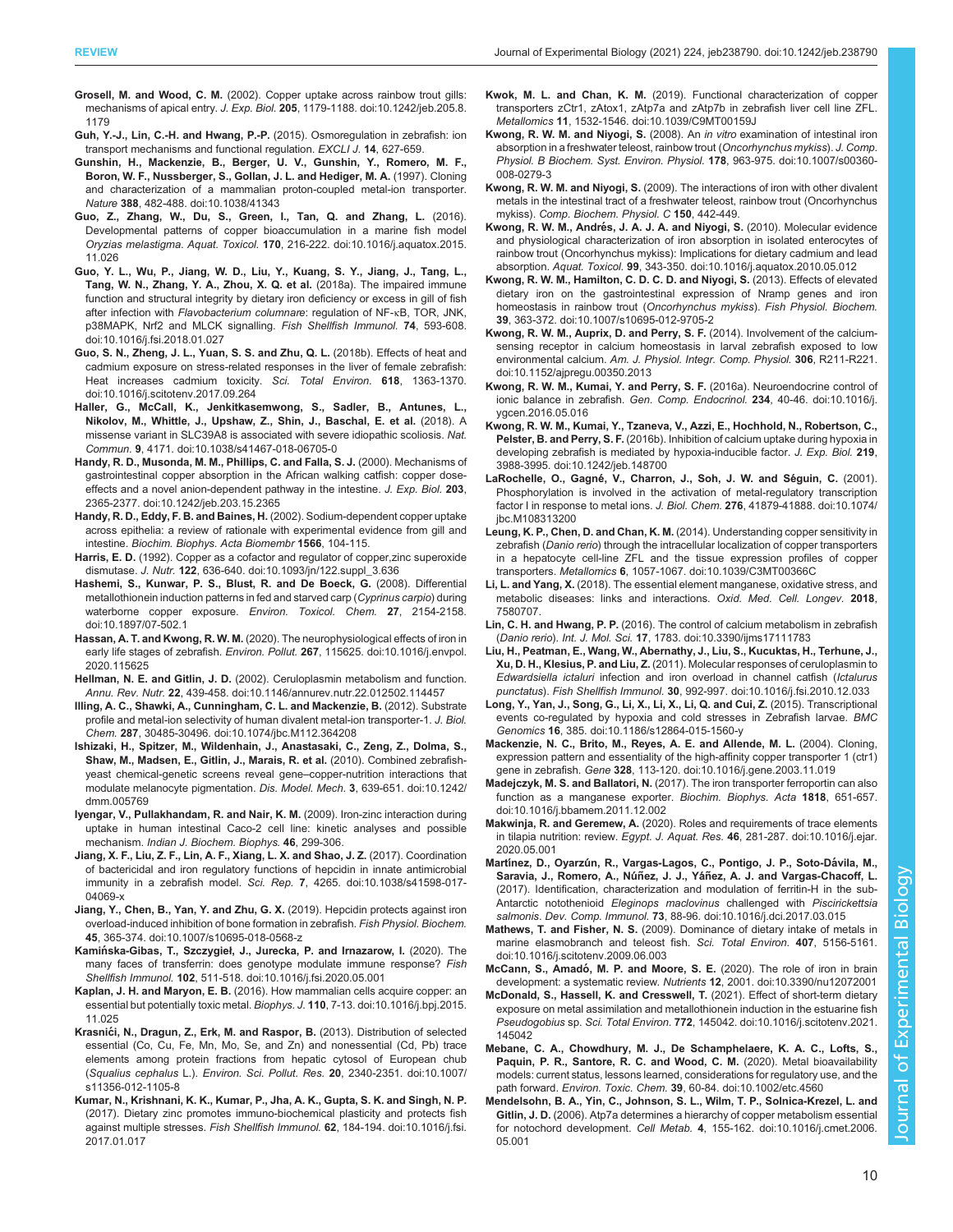- <span id="page-9-0"></span>Grosell, M. and Wood, C. M. [\(2002\). Copper uptake across rainbow trout gills:](https://doi.org/10.1242/jeb.205.8.1179) mechanisms of apical entry. J. Exp. Biol. 205[, 1179-1188. doi:10.1242/jeb.205.8.](https://doi.org/10.1242/jeb.205.8.1179) [1179](https://doi.org/10.1242/jeb.205.8.1179)
- Guh, Y.-J., Lin, C.-H. and Hwang, P.-P. (2015). Osmoregulation in zebrafish: ion transport mechanisms and functional regulation. EXCLI J. 14, 627-659.
- [Gunshin, H., Mackenzie, B., Berger, U. V., Gunshin, Y., Romero, M. F.,](https://doi.org/10.1038/41343) [Boron, W. F., Nussberger, S., Gollan, J. L. and Hediger, M. A.](https://doi.org/10.1038/41343) (1997). Cloning [and characterization of a mammalian proton-coupled metal-ion transporter.](https://doi.org/10.1038/41343) Nature 388[, 482-488. doi:10.1038/41343](https://doi.org/10.1038/41343)
- [Guo, Z., Zhang, W., Du, S., Green, I., Tan, Q. and Zhang, L.](https://doi.org/10.1016/j.aquatox.2015.11.026) (2016). [Developmental patterns of copper bioaccumulation in a marine fish model](https://doi.org/10.1016/j.aquatox.2015.11.026) Oryzias melastigma. Aquat. Toxicol. 170[, 216-222. doi:10.1016/j.aquatox.2015.](https://doi.org/10.1016/j.aquatox.2015.11.026) [11.026](https://doi.org/10.1016/j.aquatox.2015.11.026)
- [Guo, Y. L., Wu, P., Jiang, W. D., Liu, Y., Kuang, S. Y., Jiang, J., Tang, L.,](https://doi.org/10.1016/j.fsi.2018.01.027) [Tang, W. N., Zhang, Y. A., Zhou, X. Q. et al.](https://doi.org/10.1016/j.fsi.2018.01.027) (2018a). The impaired immune [function and structural integrity by dietary iron deficiency or excess in gill of fish](https://doi.org/10.1016/j.fsi.2018.01.027) after infection with [Flavobacterium columnare](https://doi.org/10.1016/j.fsi.2018.01.027): regulation of NF-κB, TOR, JNK, [p38MAPK, Nrf2 and MLCK signalling.](https://doi.org/10.1016/j.fsi.2018.01.027) Fish Shellfish Immunol. 74, 593-608. [doi:10.1016/j.fsi.2018.01.027](https://doi.org/10.1016/j.fsi.2018.01.027)
- [Guo, S. N., Zheng, J. L., Yuan, S. S. and Zhu, Q. L.](https://doi.org/10.1016/j.scitotenv.2017.09.264) (2018b). Effects of heat and [cadmium exposure on stress-related responses in the liver of female zebrafish:](https://doi.org/10.1016/j.scitotenv.2017.09.264) [Heat increases cadmium toxicity.](https://doi.org/10.1016/j.scitotenv.2017.09.264) Sci. Total Environ. 618, 1363-1370. [doi:10.1016/j.scitotenv.2017.09.264](https://doi.org/10.1016/j.scitotenv.2017.09.264)
- [Haller, G., McCall, K., Jenkitkasemwong, S., Sadler, B., Antunes, L.,](https://doi.org/10.1038/s41467-018-06705-0) [Nikolov, M., Whittle, J., Upshaw, Z., Shin, J., Baschal, E. et al.](https://doi.org/10.1038/s41467-018-06705-0) (2018). A [missense variant in SLC39A8 is associated with severe idiopathic scoliosis.](https://doi.org/10.1038/s41467-018-06705-0) Nat. Commun. 9[, 4171. doi:10.1038/s41467-018-06705-0](https://doi.org/10.1038/s41467-018-06705-0)
- [Handy, R. D., Musonda, M. M., Phillips, C. and Falla, S. J.](https://doi.org/10.1242/jeb.203.15.2365) (2000). Mechanisms of [gastrointestinal copper absorption in the African walking catfish: copper dose](https://doi.org/10.1242/jeb.203.15.2365)[effects and a novel anion-dependent pathway in the intestine.](https://doi.org/10.1242/jeb.203.15.2365) J. Exp. Biol. 203, [2365-2377. doi:10.1242/jeb.203.15.2365](https://doi.org/10.1242/jeb.203.15.2365)
- Handy, R. D., Eddy, F. B. and Baines, H. (2002). Sodium-dependent copper uptake across epithelia: a review of rationale with experimental evidence from gill and intestine. Biochim. Biophys. Acta Biomembr 1566, 104-115.
- Harris, E. D. (1992). Copper as a cofactor and regulator of copper, zinc superoxide dismutase. J. Nutr. 122[, 636-640. doi:10.1093/jn/122.suppl\\_3.636](https://doi.org/10.1093/jn/122.suppl_3.636)
- [Hashemi, S., Kunwar, P. S., Blust, R. and De Boeck, G.](https://doi.org/10.1897/07-502.1) (2008). Differential [metallothionein induction patterns in fed and starved carp \(](https://doi.org/10.1897/07-502.1)Cyprinus carpio) during [waterborne copper exposure.](https://doi.org/10.1897/07-502.1) Environ. Toxicol. Chem. 27, 2154-2158. [doi:10.1897/07-502.1](https://doi.org/10.1897/07-502.1)
- Hassan, A. T. and Kwong, R. W. M. [\(2020\). The neurophysiological effects of iron in](https://doi.org/10.1016/j.envpol.2020.115625) early life stages of zebrafish. Environ. Pollut. 267[, 115625. doi:10.1016/j.envpol.](https://doi.org/10.1016/j.envpol.2020.115625) [2020.115625](https://doi.org/10.1016/j.envpol.2020.115625)
- Hellman, N. E. and Gitlin, J. D. [\(2002\). Ceruloplasmin metabolism and function.](https://doi.org/10.1146/annurev.nutr.22.012502.114457) Annu. Rev. Nutr. 22[, 439-458. doi:10.1146/annurev.nutr.22.012502.114457](https://doi.org/10.1146/annurev.nutr.22.012502.114457)
- [Illing, A. C., Shawki, A., Cunningham, C. L. and Mackenzie, B.](https://doi.org/10.1074/jbc.M112.364208) (2012). Substrate [profile and metal-ion selectivity of human divalent metal-ion transporter-1.](https://doi.org/10.1074/jbc.M112.364208) J. Biol. Chem. 287[, 30485-30496. doi:10.1074/jbc.M112.364208](https://doi.org/10.1074/jbc.M112.364208)
- [Ishizaki, H., Spitzer, M., Wildenhain, J., Anastasaki, C., Zeng, Z., Dolma, S.,](https://doi.org/10.1242/dmm.005769) [Shaw, M., Madsen, E., Gitlin, J., Marais, R. et al.](https://doi.org/10.1242/dmm.005769) (2010). Combined zebrafish[yeast chemical-genetic screens reveal gene](https://doi.org/10.1242/dmm.005769)–copper-nutrition interactions that [modulate melanocyte pigmentation.](https://doi.org/10.1242/dmm.005769) Dis. Model. Mech. 3, 639-651. doi:10.1242/ [dmm.005769](https://doi.org/10.1242/dmm.005769)
- Iyengar, V., Pullakhandam, R. and Nair, K. M. (2009). Iron-zinc interaction during uptake in human intestinal Caco-2 cell line: kinetic analyses and possible mechanism. Indian J. Biochem. Biophys. 46, 299-306.
- [Jiang, X. F., Liu, Z. F., Lin, A. F., Xiang, L. X. and Shao, J. Z.](https://doi.org/10.1038/s41598-017-04069-x) (2017). Coordination [of bactericidal and iron regulatory functions of hepcidin in innate antimicrobial](https://doi.org/10.1038/s41598-017-04069-x) immunity in a zebrafish model. Sci. Rep. 7[, 4265. doi:10.1038/s41598-017-](https://doi.org/10.1038/s41598-017-04069-x) [04069-x](https://doi.org/10.1038/s41598-017-04069-x)
- [Jiang, Y., Chen, B., Yan, Y. and Zhu, G. X.](https://doi.org/10.1007/s10695-018-0568-z) (2019). Hepcidin protects against iron [overload-induced inhibition of bone formation in zebrafish.](https://doi.org/10.1007/s10695-018-0568-z) Fish Physiol. Biochem. 45[, 365-374. doi:10.1007/s10695-018-0568-z](https://doi.org/10.1007/s10695-018-0568-z)
- Kamińska-Gibas, T., Szczygieł[, J., Jurecka, P. and Irnazarow, I.](https://doi.org/10.1016/j.fsi.2020.05.001) (2020). The [many faces of transferrin: does genotype modulate immune response?](https://doi.org/10.1016/j.fsi.2020.05.001) Fish Shellfish Immunol. 102[, 511-518. doi:10.1016/j.fsi.2020.05.001](https://doi.org/10.1016/j.fsi.2020.05.001)
- Kaplan, J. H. and Maryon, E. B. [\(2016\). How mammalian cells acquire copper: an](https://doi.org/10.1016/j.bpj.2015.11.025) [essential but potentially toxic metal.](https://doi.org/10.1016/j.bpj.2015.11.025) Biophys. J. 110, 7-13. doi:10.1016/j.bpj.2015. [11.025](https://doi.org/10.1016/j.bpj.2015.11.025)
- Krasnić[i, N., Dragun, Z., Erk, M. and Raspor, B.](https://doi.org/10.1007/s11356-012-1105-8) (2013). Distribution of selected [essential \(Co, Cu, Fe, Mn, Mo, Se, and Zn\) and nonessential \(Cd, Pb\) trace](https://doi.org/10.1007/s11356-012-1105-8) [elements among protein fractions from hepatic cytosol of European chub](https://doi.org/10.1007/s11356-012-1105-8) (Squalius cephalus L.). Environ. Sci. Pollut. Res. 20[, 2340-2351. doi:10.1007/](https://doi.org/10.1007/s11356-012-1105-8) [s11356-012-1105-8](https://doi.org/10.1007/s11356-012-1105-8)
- [Kumar, N., Krishnani, K. K., Kumar, P., Jha, A. K., Gupta, S. K. and Singh, N. P.](https://doi.org/10.1016/j.fsi.2017.01.017) [\(2017\). Dietary zinc promotes immuno-biochemical plasticity and protects fish](https://doi.org/10.1016/j.fsi.2017.01.017) against multiple stresses. Fish Shellfish Immunol. 62[, 184-194. doi:10.1016/j.fsi.](https://doi.org/10.1016/j.fsi.2017.01.017) [2017.01.017](https://doi.org/10.1016/j.fsi.2017.01.017)
- Kwok, M. L. and Chan, K. M. [\(2019\). Functional characterization of copper](https://doi.org/10.1039/C9MT00159J) [transporters zCtr1, zAtox1, zAtp7a and zAtp7b in zebrafish liver cell line ZFL.](https://doi.org/10.1039/C9MT00159J) Metallomics 11[, 1532-1546. doi:10.1039/C9MT00159J](https://doi.org/10.1039/C9MT00159J)
- [Kwong, R. W. M. and Niyogi, S.](https://doi.org/10.1007/s00360-008-0279-3) (2008). An in vitro examination of intestinal iron [absorption in a freshwater teleost, rainbow trout \(](https://doi.org/10.1007/s00360-008-0279-3)Oncorhynchus mykiss). J. Comp. [Physiol. B Biochem. Syst. Environ. Physiol.](https://doi.org/10.1007/s00360-008-0279-3) 178, 963-975. doi:10.1007/s00360- [008-0279-3](https://doi.org/10.1007/s00360-008-0279-3)
- Kwong, R. W. M. and Niyogi, S. (2009). The interactions of iron with other divalent metals in the intestinal tract of a freshwater teleost, rainbow trout (Oncorhynchus mykiss). Comp. Biochem. Physiol. C 150, 442-449.
- Kwong, R. W. M., André[s, J. A. J. A. and Niyogi, S.](https://doi.org/10.1016/j.aquatox.2010.05.012) (2010). Molecular evidence [and physiological characterization of iron absorption in isolated enterocytes of](https://doi.org/10.1016/j.aquatox.2010.05.012) [rainbow trout \(Oncorhynchus mykiss\): Implications for dietary cadmium and lead](https://doi.org/10.1016/j.aquatox.2010.05.012) absorption. Aquat. Toxicol. 99[, 343-350. doi:10.1016/j.aquatox.2010.05.012](https://doi.org/10.1016/j.aquatox.2010.05.012)
- [Kwong, R. W. M., Hamilton, C. D. C. D. and Niyogi, S.](https://doi.org/10.1007/s10695-012-9705-2) (2013). Effects of elevated [dietary iron on the gastrointestinal expression of Nramp genes and iron](https://doi.org/10.1007/s10695-012-9705-2) [homeostasis in rainbow trout \(](https://doi.org/10.1007/s10695-012-9705-2)Oncorhynchus mykiss). Fish Physiol. Biochem. 39[, 363-372. doi:10.1007/s10695-012-9705-2](https://doi.org/10.1007/s10695-012-9705-2)
- [Kwong, R. W. M., Auprix, D. and Perry, S. F.](https://doi.org/10.1152/ajpregu.00350.2013) (2014). Involvement of the calcium[sensing receptor in calcium homeostasis in larval zebrafish exposed to low](https://doi.org/10.1152/ajpregu.00350.2013) environmental calcium. [Am. J. Physiol. Integr. Comp. Physiol.](https://doi.org/10.1152/ajpregu.00350.2013) 306, R211-R221. [doi:10.1152/ajpregu.00350.2013](https://doi.org/10.1152/ajpregu.00350.2013)
- [Kwong, R. W. M., Kumai, Y. and Perry, S. F.](https://doi.org/10.1016/j.ygcen.2016.05.016) (2016a). Neuroendocrine control of [ionic balance in zebrafish.](https://doi.org/10.1016/j.ygcen.2016.05.016) Gen. Comp. Endocrinol. 234, 40-46. doi:10.1016/j. [ygcen.2016.05.016](https://doi.org/10.1016/j.ygcen.2016.05.016)
- [Kwong, R. W. M., Kumai, Y., Tzaneva, V., Azzi, E., Hochhold, N., Robertson, C.,](https://doi.org/10.1242/jeb.148700) Pelster, B. and Perry, S. F. [\(2016b\). Inhibition of calcium uptake during hypoxia in](https://doi.org/10.1242/jeb.148700) [developing zebrafish is mediated by hypoxia-inducible factor.](https://doi.org/10.1242/jeb.148700) J. Exp. Biol. 219, [3988-3995. doi:10.1242/jeb.148700](https://doi.org/10.1242/jeb.148700)
- LaRochelle, O., Gagné, V., Charron, J., Soh, J. W. and Séguin, C. (2001). [Phosphorylation is involved in the activation of metal-regulatory transcription](https://doi.org/10.1074/jbc.M108313200) [factor I in response to metal ions.](https://doi.org/10.1074/jbc.M108313200) J. Biol. Chem. 276, 41879-41888. doi:10.1074/ [jbc.M108313200](https://doi.org/10.1074/jbc.M108313200)
- Leung, K. P., Chen, D. and Chan, K. M. [\(2014\). Understanding copper sensitivity in](https://doi.org/10.1039/C3MT00366C) zebrafish (Danio rerio[\) through the intracellular localization of copper transporters](https://doi.org/10.1039/C3MT00366C) [in a hepatocyte cell-line ZFL and the tissue expression profiles of copper](https://doi.org/10.1039/C3MT00366C) transporters. Metallomics 6[, 1057-1067. doi:10.1039/C3MT00366C](https://doi.org/10.1039/C3MT00366C)
- Li, L. and Yang, X. (2018). The essential element manganese, oxidative stress, and metabolic diseases: links and interactions. Oxid. Med. Cell. Longev. 2018, 7580707.
- Lin, C. H. and Hwang, P. P. [\(2016\). The control of calcium metabolism in zebrafish](https://doi.org/10.3390/ijms17111783) (Danio rerio). Int. J. Mol. Sci. 17[, 1783. doi:10.3390/ijms17111783](https://doi.org/10.3390/ijms17111783)
- [Liu, H., Peatman, E., Wang, W., Abernathy, J., Liu, S., Kucuktas, H., Terhune, J.,](https://doi.org/10.1016/j.fsi.2010.12.033) Xu, D. H., Klesius, P. and Liu, Z. [\(2011\). Molecular responses of ceruloplasmin to](https://doi.org/10.1016/j.fsi.2010.12.033) Edwardsiella ictaluri [infection and iron overload in channel catfish \(](https://doi.org/10.1016/j.fsi.2010.12.033)Ictalurus punctatus). Fish Shellfish Immunol. 30[, 992-997. doi:10.1016/j.fsi.2010.12.033](https://doi.org/10.1016/j.fsi.2010.12.033)
- [Long, Y., Yan, J., Song, G., Li, X., Li, X., Li, Q. and Cui, Z.](https://doi.org/10.1186/s12864-015-1560-y) (2015). Transcriptional [events co-regulated by hypoxia and cold stresses in Zebrafish larvae.](https://doi.org/10.1186/s12864-015-1560-y) BMC Genomics 16[, 385. doi:10.1186/s12864-015-1560-y](https://doi.org/10.1186/s12864-015-1560-y)
- [Mackenzie, N. C., Brito, M., Reyes, A. E. and Allende, M. L.](https://doi.org/10.1016/j.gene.2003.11.019) (2004). Cloning, [expression pattern and essentiality of the high-affinity copper transporter 1 \(ctr1\)](https://doi.org/10.1016/j.gene.2003.11.019) gene in zebrafish. Gene 328[, 113-120. doi:10.1016/j.gene.2003.11.019](https://doi.org/10.1016/j.gene.2003.11.019)
- Madejczyk, M. S. and Ballatori, N. [\(2017\). The iron transporter ferroportin can also](https://doi.org/10.1016/j.bbamem.2011.12.002) [function as a manganese exporter.](https://doi.org/10.1016/j.bbamem.2011.12.002) Biochim. Biophys. Acta 1818, 651-657. [doi:10.1016/j.bbamem.2011.12.002](https://doi.org/10.1016/j.bbamem.2011.12.002)
- Makwinja, R. and Geremew, A. [\(2020\). Roles and requirements of trace elements](https://doi.org/10.1016/j.ejar.2020.05.001) in tilapia nutrition: review. Egypt. J. Aquat. Res. 46[, 281-287. doi:10.1016/j.ejar.](https://doi.org/10.1016/j.ejar.2020.05.001) [2020.05.001](https://doi.org/10.1016/j.ejar.2020.05.001)
- Martínez, D., Oyarzún, R., Vargas-Lagos, C., Pontigo, J. P., Soto-Dávila, M., Saravia, J., Romero, A., Núñez, J. J., Yáñ[ez, A. J. and Vargas-Chacoff, L.](https://doi.org/10.1016/j.dci.2017.03.015) [\(2017\). Identification, characterization and modulation of ferritin-H in the sub-](https://doi.org/10.1016/j.dci.2017.03.015)Antarctic notothenioid [Eleginops maclovinus](https://doi.org/10.1016/j.dci.2017.03.015) challenged with Piscirickettsia salmonis. Dev. Comp. Immunol. 73[, 88-96. doi:10.1016/j.dci.2017.03.015](https://doi.org/10.1016/j.dci.2017.03.015)
- Mathews, T. and Fisher, N. S. [\(2009\). Dominance of dietary intake of metals in](https://doi.org/10.1016/j.scitotenv.2009.06.003) [marine elasmobranch and teleost fish.](https://doi.org/10.1016/j.scitotenv.2009.06.003) Sci. Total Environ. 407, 5156-5161. [doi:10.1016/j.scitotenv.2009.06.003](https://doi.org/10.1016/j.scitotenv.2009.06.003)
- McCann, S., Amadó, M. P. and Moore, S. E. [\(2020\). The role of iron in brain](https://doi.org/10.3390/nu12072001) [development: a systematic review.](https://doi.org/10.3390/nu12072001) Nutrients 12, 2001. doi:10.3390/nu12072001
- [McDonald, S., Hassell, K. and Cresswell, T.](https://doi.org/10.1016/j.scitotenv.2021.145042) (2021). Effect of short-term dietary [exposure on metal assimilation and metallothionein induction in the estuarine fish](https://doi.org/10.1016/j.scitotenv.2021.145042) Pseudogobius sp. Sci. Total Environ. 772[, 145042. doi:10.1016/j.scitotenv.2021.](https://doi.org/10.1016/j.scitotenv.2021.145042) [145042](https://doi.org/10.1016/j.scitotenv.2021.145042)
- [Mebane, C. A., Chowdhury, M. J., De Schamphelaere, K. A. C., Lofts, S.,](https://doi.org/10.1002/etc.4560) [Paquin, P. R., Santore, R. C. and Wood, C. M.](https://doi.org/10.1002/etc.4560) (2020). Metal bioavailability [models: current status, lessons learned, considerations for regulatory use, and the](https://doi.org/10.1002/etc.4560) path forward. Environ. Toxic. Chem. 39[, 60-84. doi:10.1002/etc.4560](https://doi.org/10.1002/etc.4560)
- [Mendelsohn, B. A., Yin, C., Johnson, S. L., Wilm, T. P., Solnica-Krezel, L. and](https://doi.org/10.1016/j.cmet.2006.05.001) Gitlin, J. D. [\(2006\). Atp7a determines a hierarchy of copper metabolism essential](https://doi.org/10.1016/j.cmet.2006.05.001) for notochord development. Cell Metab. 4[, 155-162. doi:10.1016/j.cmet.2006.](https://doi.org/10.1016/j.cmet.2006.05.001) [05.001](https://doi.org/10.1016/j.cmet.2006.05.001)

Journal of Experimental Biology

ō

**Durna** 

Experimental

Biology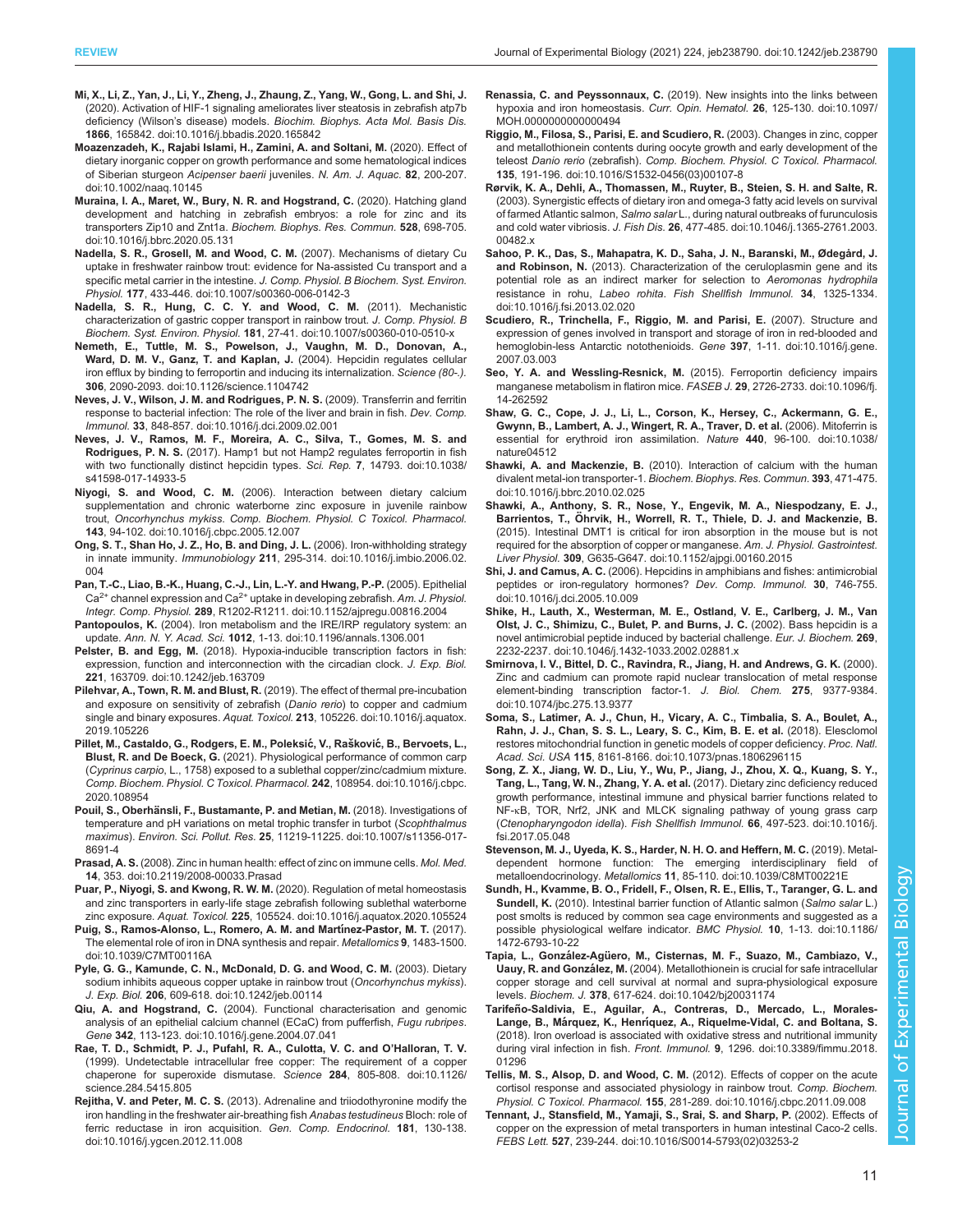- <span id="page-10-0"></span>[Mi, X., Li, Z., Yan, J., Li, Y., Zheng, J., Zhaung, Z., Yang, W., Gong, L. and Shi, J.](https://doi.org/10.1016/j.bbadis.2020.165842) [\(2020\). Activation of HIF-1 signaling ameliorates liver steatosis in zebrafish atp7b](https://doi.org/10.1016/j.bbadis.2020.165842) deficiency (Wilson's disease) models. [Biochim. Biophys. Acta Mol. Basis Dis.](https://doi.org/10.1016/j.bbadis.2020.165842) 1866[, 165842. doi:10.1016/j.bbadis.2020.165842](https://doi.org/10.1016/j.bbadis.2020.165842)
- [Moazenzadeh, K., Rajabi Islami, H., Zamini, A. and Soltani, M.](https://doi.org/10.1002/naaq.10145) (2020). Effect of [dietary inorganic copper on growth performance and some hematological indices](https://doi.org/10.1002/naaq.10145) [of Siberian sturgeon](https://doi.org/10.1002/naaq.10145) Acipenser baerii juveniles. N. Am. J. Aquac. 82, 200-207. [doi:10.1002/naaq.10145](https://doi.org/10.1002/naaq.10145)
- [Muraina, I. A., Maret, W., Bury, N. R. and Hogstrand, C.](https://doi.org/10.1016/j.bbrc.2020.05.131) (2020). Hatching gland [development and hatching in zebrafish embryos: a role for zinc and its](https://doi.org/10.1016/j.bbrc.2020.05.131) transporters Zip10 and Znt1a. [Biochem. Biophys. Res. Commun.](https://doi.org/10.1016/j.bbrc.2020.05.131) 528, 698-705. [doi:10.1016/j.bbrc.2020.05.131](https://doi.org/10.1016/j.bbrc.2020.05.131)
- [Nadella, S. R., Grosell, M. and Wood, C. M.](https://doi.org/10.1007/s00360-006-0142-3) (2007). Mechanisms of dietary Cu [uptake in freshwater rainbow trout: evidence for Na-assisted Cu transport and a](https://doi.org/10.1007/s00360-006-0142-3) specific metal carrier in the intestine. [J. Comp. Physiol. B Biochem. Syst. Environ.](https://doi.org/10.1007/s00360-006-0142-3) Physiol. 177[, 433-446. doi:10.1007/s00360-006-0142-3](https://doi.org/10.1007/s00360-006-0142-3)
- [Nadella, S. R., Hung, C. C. Y. and Wood, C. M.](https://doi.org/10.1007/s00360-010-0510-x) (2011). Mechanistic [characterization of gastric copper transport in rainbow trout.](https://doi.org/10.1007/s00360-010-0510-x) J. Comp. Physiol. B Biochem. Syst. Environ. Physiol. 181[, 27-41. doi:10.1007/s00360-010-0510-x](https://doi.org/10.1007/s00360-010-0510-x)
- [Nemeth, E., Tuttle, M. S., Powelson, J., Vaughn, M. D., Donovan, A.,](https://doi.org/10.1126/science.1104742) [Ward, D. M. V., Ganz, T. and Kaplan, J.](https://doi.org/10.1126/science.1104742) (2004). Hepcidin regulates cellular [iron efflux by binding to ferroportin and inducing its internalization.](https://doi.org/10.1126/science.1104742) Science (80-.). 306[, 2090-2093. doi:10.1126/science.1104742](https://doi.org/10.1126/science.1104742)
- [Neves, J. V., Wilson, J. M. and Rodrigues, P. N. S.](https://doi.org/10.1016/j.dci.2009.02.001) (2009). Transferrin and ferritin [response to bacterial infection: The role of the liver and brain in fish.](https://doi.org/10.1016/j.dci.2009.02.001) Dev. Comp. Immunol. 33[, 848-857. doi:10.1016/j.dci.2009.02.001](https://doi.org/10.1016/j.dci.2009.02.001)
- [Neves, J. V., Ramos, M. F., Moreira, A. C., Silva, T., Gomes, M. S. and](https://doi.org/10.1038/s41598-017-14933-5) Rodrigues, P. N. S. [\(2017\). Hamp1 but not Hamp2 regulates ferroportin in fish](https://doi.org/10.1038/s41598-017-14933-5) [with two functionally distinct hepcidin types.](https://doi.org/10.1038/s41598-017-14933-5) Sci. Rep. 7, 14793. doi:10.1038/ [s41598-017-14933-5](https://doi.org/10.1038/s41598-017-14933-5)
- Niyogi, S. and Wood, C. M. [\(2006\). Interaction between dietary calcium](https://doi.org/10.1016/j.cbpc.2005.12.007) [supplementation and chronic waterborne zinc exposure in juvenile rainbow](https://doi.org/10.1016/j.cbpc.2005.12.007) trout, Oncorhynchus mykiss. [Comp. Biochem. Physiol. C Toxicol. Pharmacol.](https://doi.org/10.1016/j.cbpc.2005.12.007) 143[, 94-102. doi:10.1016/j.cbpc.2005.12.007](https://doi.org/10.1016/j.cbpc.2005.12.007)
- [Ong, S. T., Shan Ho, J. Z., Ho, B. and Ding, J. L.](https://doi.org/10.1016/j.imbio.2006.02.004) (2006). Iron-withholding strategy in innate immunity. Immunobiology 211[, 295-314. doi:10.1016/j.imbio.2006.02.](https://doi.org/10.1016/j.imbio.2006.02.004)  $004$
- [Pan, T.-C., Liao, B.-K., Huang, C.-J., Lin, L.-Y. and Hwang, P.-P.](https://doi.org/10.1152/ajpregu.00816.2004) (2005). Epithelial  $Ca<sup>2+</sup>$  $Ca<sup>2+</sup>$  [channel](https://doi.org/10.1152/ajpregu.00816.2004) [expression](https://doi.org/10.1152/ajpregu.00816.2004) [and](https://doi.org/10.1152/ajpregu.00816.2004)  $Ca<sup>2+</sup>$  [uptake in developing zebrafish.](https://doi.org/10.1152/ajpregu.00816.2004) Am. J. Physiol. Integr. Comp. Physiol. 289[, R1202-R1211. doi:10.1152/ajpregu.00816.2004](https://doi.org/10.1152/ajpregu.00816.2004)
- Pantopoulos, K. [\(2004\). Iron metabolism and the IRE/IRP regulatory system: an](https://doi.org/10.1196/annals.1306.001) update. Ann. N. Y. Acad. Sci. 1012[, 1-13. doi:10.1196/annals.1306.001](https://doi.org/10.1196/annals.1306.001)
- Pelster, B. and Egg, M. [\(2018\). Hypoxia-inducible transcription factors in fish:](https://doi.org/10.1242/jeb.163709) [expression, function and interconnection with the circadian clock.](https://doi.org/10.1242/jeb.163709) J. Exp. Biol. 221[, 163709. doi:10.1242/jeb.163709](https://doi.org/10.1242/jeb.163709)
- Pilehvar, A., Town, R. M. and Blust, R. [\(2019\). The effect of thermal pre-incubation](https://doi.org/10.1016/j.aquatox.2019.105226) [and exposure on sensitivity of zebrafish \(](https://doi.org/10.1016/j.aquatox.2019.105226)Danio rerio) to copper and cadmium single and binary exposures. Aquat. Toxicol. 213[, 105226. doi:10.1016/j.aquatox.](https://doi.org/10.1016/j.aquatox.2019.105226) [2019.105226](https://doi.org/10.1016/j.aquatox.2019.105226)
- Pillet, M., Castaldo, G., Rodgers, E. M., Poleksić, V., Rašković, B., Bervoets, L., Blust, R. and De Boeck, G. [\(2021\). Physiological performance of common carp](https://doi.org/10.1016/j.cbpc.2020.108954) (Cyprinus carpio[, L., 1758\) exposed to a sublethal copper/zinc/cadmium mixture.](https://doi.org/10.1016/j.cbpc.2020.108954) [Comp. Biochem. Physiol. C Toxicol. Pharmacol.](https://doi.org/10.1016/j.cbpc.2020.108954) 242, 108954. doi:10.1016/j.cbpc. [2020.108954](https://doi.org/10.1016/j.cbpc.2020.108954)
- Pouil, S., Oberhä[nsli, F., Bustamante, P. and Metian, M.](https://doi.org/10.1007/s11356-017-8691-4) (2018). Investigations of [temperature and pH variations on metal trophic transfer in turbot \(](https://doi.org/10.1007/s11356-017-8691-4)Scophthalmus maximus). Environ. Sci. Pollut. Res. 25[, 11219-11225. doi:10.1007/s11356-017-](https://doi.org/10.1007/s11356-017-8691-4) [8691-4](https://doi.org/10.1007/s11356-017-8691-4)
- Prasad, A. S. [\(2008\). Zinc in human health: effect of zinc on immune cells.](https://doi.org/10.2119/2008-00033.Prasad) Mol. Med. 14[, 353. doi:10.2119/2008-00033.Prasad](https://doi.org/10.2119/2008-00033.Prasad)
- [Puar, P., Niyogi, S. and Kwong, R. W. M.](https://doi.org/10.1016/j.aquatox.2020.105524) (2020). Regulation of metal homeostasis [and zinc transporters in early-life stage zebrafish following sublethal waterborne](https://doi.org/10.1016/j.aquatox.2020.105524) zinc exposure. Aquat. Toxicol. 225[, 105524. doi:10.1016/j.aquatox.2020.105524](https://doi.org/10.1016/j.aquatox.2020.105524)
- [Puig, S., Ramos-Alonso, L., Romero, A. M. and Mart](https://doi.org/10.1039/C7MT00116A)ínez-Pastor, M. T. (2017). [The elemental role of iron in DNA synthesis and repair.](https://doi.org/10.1039/C7MT00116A) Metallomics 9, 1483-1500. [doi:10.1039/C7MT00116A](https://doi.org/10.1039/C7MT00116A)
- [Pyle, G. G., Kamunde, C. N., McDonald, D. G. and Wood, C. M.](https://doi.org/10.1242/jeb.00114) (2003). Dietary [sodium inhibits aqueous copper uptake in rainbow trout \(](https://doi.org/10.1242/jeb.00114)Oncorhynchus mykiss). J. Exp. Biol. 206[, 609-618. doi:10.1242/jeb.00114](https://doi.org/10.1242/jeb.00114)
- Qiu, A. and Hogstrand, C. [\(2004\). Functional characterisation and genomic](https://doi.org/10.1016/j.gene.2004.07.041) [analysis of an epithelial calcium channel \(ECaC\) from pufferfish,](https://doi.org/10.1016/j.gene.2004.07.041) Fugu rubripes. Gene 342[, 113-123. doi:10.1016/j.gene.2004.07.041](https://doi.org/10.1016/j.gene.2004.07.041)
- [Rae, T. D., Schmidt, P. J., Pufahl, R. A., Culotta, V. C. and O](https://doi.org/10.1126/science.284.5415.805)'Halloran, T. V. [\(1999\). Undetectable intracellular free copper: The requirement of a copper](https://doi.org/10.1126/science.284.5415.805) [chaperone for superoxide dismutase.](https://doi.org/10.1126/science.284.5415.805) Science 284, 805-808. doi:10.1126/ [science.284.5415.805](https://doi.org/10.1126/science.284.5415.805)
- Rejitha, V. and Peter, M. C. S. [\(2013\). Adrenaline and triiodothyronine modify the](https://doi.org/10.1016/j.ygcen.2012.11.008) [iron handling in the freshwater air-breathing fish](https://doi.org/10.1016/j.ygcen.2012.11.008) Anabas testudineus Bloch: role of [ferric reductase in iron acquisition.](https://doi.org/10.1016/j.ygcen.2012.11.008) Gen. Comp. Endocrinol. 181, 130-138. [doi:10.1016/j.ygcen.2012.11.008](https://doi.org/10.1016/j.ygcen.2012.11.008)
- Renassia, C. and Peyssonnaux, C. [\(2019\). New insights into the links between](https://doi.org/10.1097/MOH.0000000000000494) [hypoxia and iron homeostasis.](https://doi.org/10.1097/MOH.0000000000000494) Curr. Opin. Hematol. 26, 125-130. doi:10.1097/ [MOH.0000000000000494](https://doi.org/10.1097/MOH.0000000000000494)
- [Riggio, M., Filosa, S., Parisi, E. and Scudiero, R.](https://doi.org/10.1016/S1532-0456(03)00107-8) (2003). Changes in zinc, copper [and metallothionein contents during oocyte growth and early development of the](https://doi.org/10.1016/S1532-0456(03)00107-8) teleost Danio rerio (zebrafish). [Comp. Biochem. Physiol. C Toxicol. Pharmacol.](https://doi.org/10.1016/S1532-0456(03)00107-8) 135[, 191-196. doi:10.1016/S1532-0456\(03\)00107-8](https://doi.org/10.1016/S1532-0456(03)00107-8)
- [Rørvik, K. A., Dehli, A., Thomassen, M., Ruyter, B., Steien, S. H. and Salte, R.](https://doi.org/10.1046/j.1365-2761.2003.00482.x) [\(2003\). Synergistic effects of dietary iron and omega-3 fatty acid levels on survival](https://doi.org/10.1046/j.1365-2761.2003.00482.x) of farmed Atlantic salmon, Salmo salar [L., during natural outbreaks of furunculosis](https://doi.org/10.1046/j.1365-2761.2003.00482.x) and cold water vibriosis. J. Fish Dis. 26[, 477-485. doi:10.1046/j.1365-2761.2003.](https://doi.org/10.1046/j.1365-2761.2003.00482.x) [00482.x](https://doi.org/10.1046/j.1365-2761.2003.00482.x)
- [Sahoo, P. K., Das, S., Mahapatra, K. D., Saha, J. N., Baranski, M., Ødegård, J.](https://doi.org/10.1016/j.fsi.2013.02.020) and Robinson, N. [\(2013\). Characterization of the ceruloplasmin gene and its](https://doi.org/10.1016/j.fsi.2013.02.020) [potential role as an indirect marker for selection to](https://doi.org/10.1016/j.fsi.2013.02.020) Aeromonas hydrophila resistance in rohu, Labeo rohita. [Fish Shellfish Immunol.](https://doi.org/10.1016/j.fsi.2013.02.020) 34, 1325-1334. [doi:10.1016/j.fsi.2013.02.020](https://doi.org/10.1016/j.fsi.2013.02.020)
- [Scudiero, R., Trinchella, F., Riggio, M. and Parisi, E.](https://doi.org/10.1016/j.gene.2007.03.003) (2007). Structure and [expression of genes involved in transport and storage of iron in red-blooded and](https://doi.org/10.1016/j.gene.2007.03.003) [hemoglobin-less Antarctic notothenioids.](https://doi.org/10.1016/j.gene.2007.03.003) Gene 397, 1-11. doi:10.1016/j.gene. [2007.03.003](https://doi.org/10.1016/j.gene.2007.03.003)
- [Seo, Y. A. and Wessling-Resnick, M.](https://doi.org/10.1096/fj.14-262592) (2015). Ferroportin deficiency impairs [manganese metabolism in flatiron mice.](https://doi.org/10.1096/fj.14-262592) FASEB J. 29, 2726-2733. doi:10.1096/fj. [14-262592](https://doi.org/10.1096/fj.14-262592)
- [Shaw, G. C., Cope, J. J., Li, L., Corson, K., Hersey, C., Ackermann, G. E.,](https://doi.org/10.1038/nature04512) [Gwynn, B., Lambert, A. J., Wingert, R. A., Traver, D. et al.](https://doi.org/10.1038/nature04512) (2006). Mitoferrin is [essential for erythroid iron assimilation.](https://doi.org/10.1038/nature04512) Nature 440, 96-100. doi:10.1038/ [nature04512](https://doi.org/10.1038/nature04512)
- Shawki, A. and Mackenzie, B. [\(2010\). Interaction of calcium with the human](https://doi.org/10.1016/j.bbrc.2010.02.025) divalent metal-ion transporter-1. [Biochem. Biophys. Res. Commun.](https://doi.org/10.1016/j.bbrc.2010.02.025) 393, 471-475. [doi:10.1016/j.bbrc.2010.02.025](https://doi.org/10.1016/j.bbrc.2010.02.025)
- [Shawki, A., Anthony, S. R., Nose, Y., Engevik, M. A., Niespodzany, E. J.,](https://doi.org/10.1152/ajpgi.00160.2015) Barrientos, T., Ö[hrvik, H., Worrell, R. T., Thiele, D. J. and Mackenzie, B.](https://doi.org/10.1152/ajpgi.00160.2015) [\(2015\). Intestinal DMT1 is critical for iron absorption in the mouse but is not](https://doi.org/10.1152/ajpgi.00160.2015) [required for the absorption of copper or manganese.](https://doi.org/10.1152/ajpgi.00160.2015) Am. J. Physiol. Gastrointest. Liver Physiol. 309[, G635-G647. doi:10.1152/ajpgi.00160.2015](https://doi.org/10.1152/ajpgi.00160.2015)
- Shi, J. and Camus, A. C. [\(2006\). Hepcidins in amphibians and fishes: antimicrobial](https://doi.org/10.1016/j.dci.2005.10.009) [peptides or iron-regulatory hormones?](https://doi.org/10.1016/j.dci.2005.10.009) Dev. Comp. Immunol. 30, 746-755. [doi:10.1016/j.dci.2005.10.009](https://doi.org/10.1016/j.dci.2005.10.009)
- [Shike, H., Lauth, X., Westerman, M. E., Ostland, V. E., Carlberg, J. M., Van](https://doi.org/10.1046/j.1432-1033.2002.02881.x) [Olst, J. C., Shimizu, C., Bulet, P. and Burns, J. C.](https://doi.org/10.1046/j.1432-1033.2002.02881.x) (2002). Bass hepcidin is a [novel antimicrobial peptide induced by bacterial challenge.](https://doi.org/10.1046/j.1432-1033.2002.02881.x) Eur. J. Biochem. 269, [2232-2237. doi:10.1046/j.1432-1033.2002.02881.x](https://doi.org/10.1046/j.1432-1033.2002.02881.x)
- [Smirnova, I. V., Bittel, D. C., Ravindra, R., Jiang, H. and Andrews, G. K.](https://doi.org/10.1074/jbc.275.13.9377) (2000). [Zinc and cadmium can promote rapid nuclear translocation of metal response](https://doi.org/10.1074/jbc.275.13.9377) [element-binding transcription factor-1.](https://doi.org/10.1074/jbc.275.13.9377) J. Biol. Chem. 275, 9377-9384. [doi:10.1074/jbc.275.13.9377](https://doi.org/10.1074/jbc.275.13.9377)
- [Soma, S., Latimer, A. J., Chun, H., Vicary, A. C., Timbalia, S. A., Boulet, A.,](https://doi.org/10.1073/pnas.1806296115) [Rahn, J. J., Chan, S. S. L., Leary, S. C., Kim, B. E. et al.](https://doi.org/10.1073/pnas.1806296115) (2018). Elesclomol [restores mitochondrial function in genetic models of copper deficiency.](https://doi.org/10.1073/pnas.1806296115) Proc. Natl. Acad. Sci. USA 115[, 8161-8166. doi:10.1073/pnas.1806296115](https://doi.org/10.1073/pnas.1806296115)
- [Song, Z. X., Jiang, W. D., Liu, Y., Wu, P., Jiang, J., Zhou, X. Q., Kuang, S. Y.,](https://doi.org/10.1016/j.fsi.2017.05.048) [Tang, L., Tang, W. N., Zhang, Y. A. et al.](https://doi.org/10.1016/j.fsi.2017.05.048) (2017). Dietary zinc deficiency reduced [growth performance, intestinal immune and physical barrier functions related to](https://doi.org/10.1016/j.fsi.2017.05.048) NF-κ[B, TOR, Nrf2, JNK and MLCK signaling pathway of young grass carp](https://doi.org/10.1016/j.fsi.2017.05.048) ([Ctenopharyngodon idella](https://doi.org/10.1016/j.fsi.2017.05.048)). Fish Shellfish Immunol. 66, 497-523. doi:10.1016/j. [fsi.2017.05.048](https://doi.org/10.1016/j.fsi.2017.05.048)
- [Stevenson, M. J., Uyeda, K. S., Harder, N. H. O. and Heffern, M. C.](https://doi.org/10.1039/C8MT00221E) (2019). Metal[dependent hormone function: The emerging interdisciplinary field of](https://doi.org/10.1039/C8MT00221E) metalloendocrinology. Metallomics 11[, 85-110. doi:10.1039/C8MT00221E](https://doi.org/10.1039/C8MT00221E)
- [Sundh, H., Kvamme, B. O., Fridell, F., Olsen, R. E., Ellis, T., Taranger, G. L. and](https://doi.org/10.1186/1472-6793-10-22) Sundell, K. [\(2010\). Intestinal barrier function of Atlantic salmon \(](https://doi.org/10.1186/1472-6793-10-22)Salmo salar L.) [post smolts is reduced by common sea cage environments and suggested as a](https://doi.org/10.1186/1472-6793-10-22) [possible physiological welfare indicator.](https://doi.org/10.1186/1472-6793-10-22) BMC Physiol. 10, 1-13. doi:10.1186/ [1472-6793-10-22](https://doi.org/10.1186/1472-6793-10-22)
- Tapia, L., González-Agü[ero, M., Cisternas, M. F., Suazo, M., Cambiazo, V.,](https://doi.org/10.1042/bj20031174) Uauy, R. and González, M. [\(2004\). Metallothionein is crucial for safe intracellular](https://doi.org/10.1042/bj20031174) [copper storage and cell survival at normal and supra-physiological exposure](https://doi.org/10.1042/bj20031174) levels. Biochem. J. 378[, 617-624. doi:10.1042/bj20031174](https://doi.org/10.1042/bj20031174)
- Tarifeñ [o-Saldivia, E., Aguilar, A., Contreras, D., Mercado, L., Morales](https://doi.org/10.3389/fimmu.2018.01296)Lange, B., Márquez, K., Henrí[quez, A., Riquelme-Vidal, C. and Boltana, S.](https://doi.org/10.3389/fimmu.2018.01296) [\(2018\). Iron overload is associated with oxidative stress and nutritional immunity](https://doi.org/10.3389/fimmu.2018.01296) during viral infection in fish. Front. Immunol. 9[, 1296. doi:10.3389/fimmu.2018.](https://doi.org/10.3389/fimmu.2018.01296) [01296](https://doi.org/10.3389/fimmu.2018.01296)
- [Tellis, M. S., Alsop, D. and Wood, C. M.](https://doi.org/10.1016/j.cbpc.2011.09.008) (2012). Effects of copper on the acute [cortisol response and associated physiology in rainbow trout.](https://doi.org/10.1016/j.cbpc.2011.09.008) Comp. Biochem. Physiol. C Toxicol. Pharmacol. 155[, 281-289. doi:10.1016/j.cbpc.2011.09.008](https://doi.org/10.1016/j.cbpc.2011.09.008)
- [Tennant, J., Stansfield, M., Yamaji, S., Srai, S. and Sharp, P.](https://doi.org/10.1016/S0014-5793(02)03253-2) (2002). Effects of [copper on the expression of metal transporters in human intestinal Caco-2 cells.](https://doi.org/10.1016/S0014-5793(02)03253-2) FEBS Lett. 527[, 239-244. doi:10.1016/S0014-5793\(02\)03253-2](https://doi.org/10.1016/S0014-5793(02)03253-2)